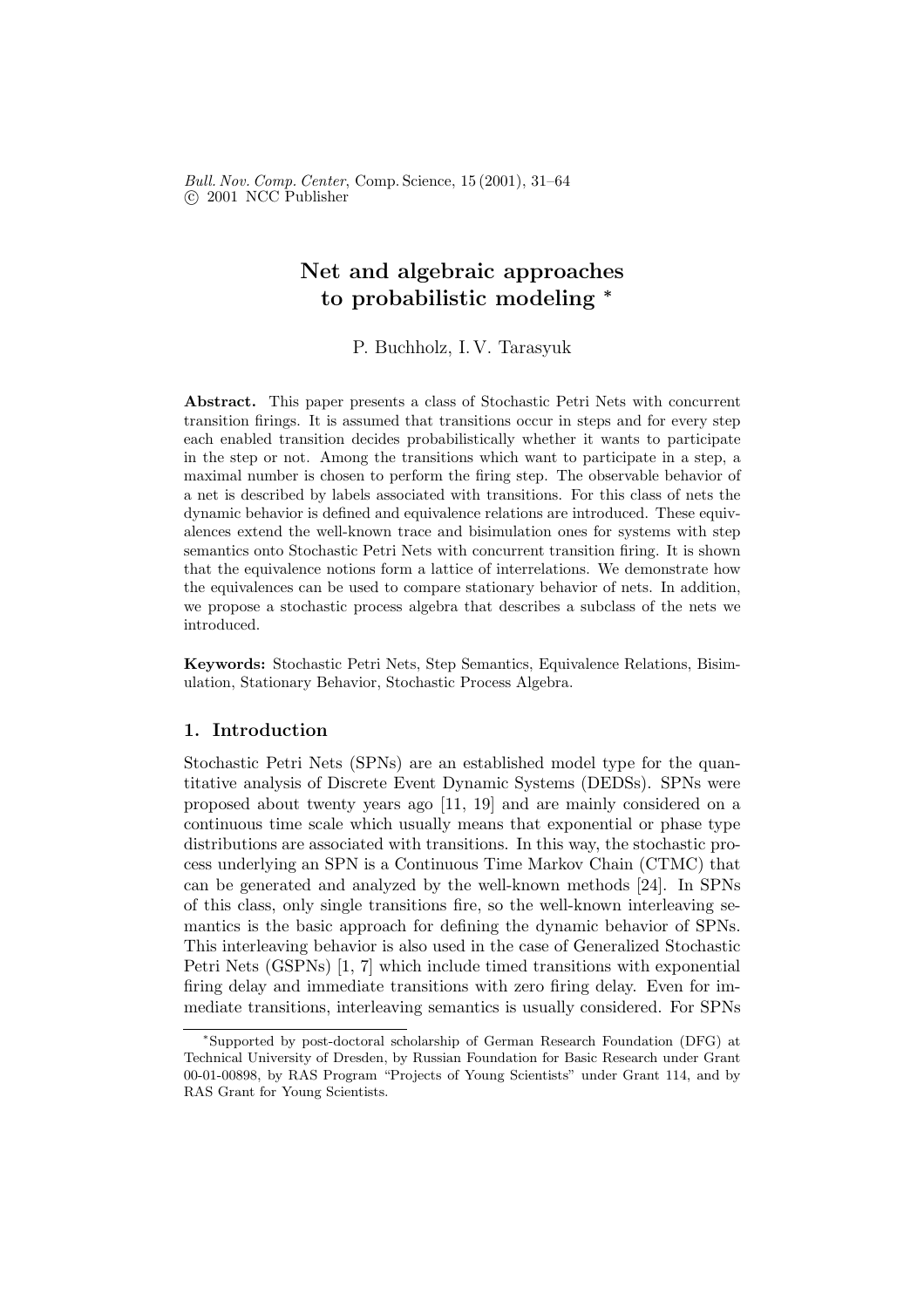Bull. Nov. Comp. Center, Comp. Science, 15 (2001), 31–64 c 2001 NCC Publisher

## Net and algebraic approaches to probabilistic modeling <sup>∗</sup>

P. Buchholz, I. V. Tarasyuk

Abstract. This paper presents a class of Stochastic Petri Nets with concurrent transition firings. It is assumed that transitions occur in steps and for every step each enabled transition decides probabilistically whether it wants to participate in the step or not. Among the transitions which want to participate in a step, a maximal number is chosen to perform the firing step. The observable behavior of a net is described by labels associated with transitions. For this class of nets the dynamic behavior is defined and equivalence relations are introduced. These equivalences extend the well-known trace and bisimulation ones for systems with step semantics onto Stochastic Petri Nets with concurrent transition firing. It is shown that the equivalence notions form a lattice of interrelations. We demonstrate how the equivalences can be used to compare stationary behavior of nets. In addition, we propose a stochastic process algebra that describes a subclass of the nets we introduced.

Keywords: Stochastic Petri Nets, Step Semantics, Equivalence Relations, Bisimulation, Stationary Behavior, Stochastic Process Algebra.

## 1. Introduction

Stochastic Petri Nets (SPNs) are an established model type for the quantitative analysis of Discrete Event Dynamic Systems (DEDSs). SPNs were proposed about twenty years ago [11, 19] and are mainly considered on a continuous time scale which usually means that exponential or phase type distributions are associated with transitions. In this way, the stochastic process underlying an SPN is a Continuous Time Markov Chain (CTMC) that can be generated and analyzed by the well-known methods [24]. In SPNs of this class, only single transitions fire, so the well-known interleaving semantics is the basic approach for defining the dynamic behavior of SPNs. This interleaving behavior is also used in the case of Generalized Stochastic Petri Nets (GSPNs) [1, 7] which include timed transitions with exponential firing delay and immediate transitions with zero firing delay. Even for immediate transitions, interleaving semantics is usually considered. For SPNs

<sup>∗</sup> Supported by post-doctoral scholarship of German Research Foundation (DFG) at Technical University of Dresden, by Russian Foundation for Basic Research under Grant 00-01-00898, by RAS Program "Projects of Young Scientists" under Grant 114, and by RAS Grant for Young Scientists.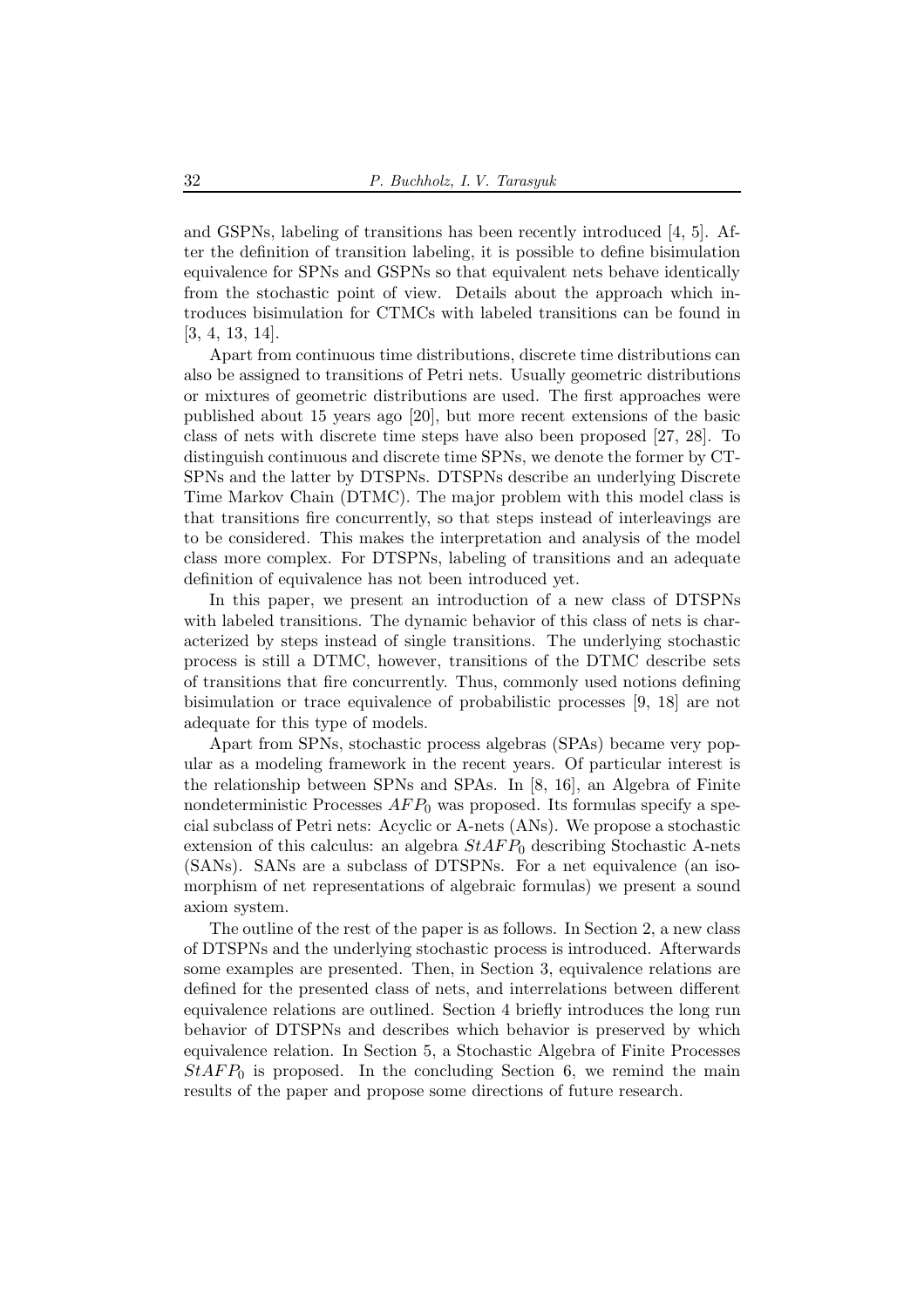and GSPNs, labeling of transitions has been recently introduced [4, 5]. After the definition of transition labeling, it is possible to define bisimulation equivalence for SPNs and GSPNs so that equivalent nets behave identically from the stochastic point of view. Details about the approach which introduces bisimulation for CTMCs with labeled transitions can be found in [3, 4, 13, 14].

Apart from continuous time distributions, discrete time distributions can also be assigned to transitions of Petri nets. Usually geometric distributions or mixtures of geometric distributions are used. The first approaches were published about 15 years ago [20], but more recent extensions of the basic class of nets with discrete time steps have also been proposed [27, 28]. To distinguish continuous and discrete time SPNs, we denote the former by CT-SPNs and the latter by DTSPNs. DTSPNs describe an underlying Discrete Time Markov Chain (DTMC). The major problem with this model class is that transitions fire concurrently, so that steps instead of interleavings are to be considered. This makes the interpretation and analysis of the model class more complex. For DTSPNs, labeling of transitions and an adequate definition of equivalence has not been introduced yet.

In this paper, we present an introduction of a new class of DTSPNs with labeled transitions. The dynamic behavior of this class of nets is characterized by steps instead of single transitions. The underlying stochastic process is still a DTMC, however, transitions of the DTMC describe sets of transitions that fire concurrently. Thus, commonly used notions defining bisimulation or trace equivalence of probabilistic processes [9, 18] are not adequate for this type of models.

Apart from SPNs, stochastic process algebras (SPAs) became very popular as a modeling framework in the recent years. Of particular interest is the relationship between SPNs and SPAs. In [8, 16], an Algebra of Finite nondeterministic Processes  $AFP_0$  was proposed. Its formulas specify a special subclass of Petri nets: Acyclic or A-nets (ANs). We propose a stochastic extension of this calculus: an algebra  $StAFP_0$  describing Stochastic A-nets (SANs). SANs are a subclass of DTSPNs. For a net equivalence (an isomorphism of net representations of algebraic formulas) we present a sound axiom system.

The outline of the rest of the paper is as follows. In Section 2, a new class of DTSPNs and the underlying stochastic process is introduced. Afterwards some examples are presented. Then, in Section 3, equivalence relations are defined for the presented class of nets, and interrelations between different equivalence relations are outlined. Section 4 briefly introduces the long run behavior of DTSPNs and describes which behavior is preserved by which equivalence relation. In Section 5, a Stochastic Algebra of Finite Processes  $StAFP_0$  is proposed. In the concluding Section 6, we remind the main results of the paper and propose some directions of future research.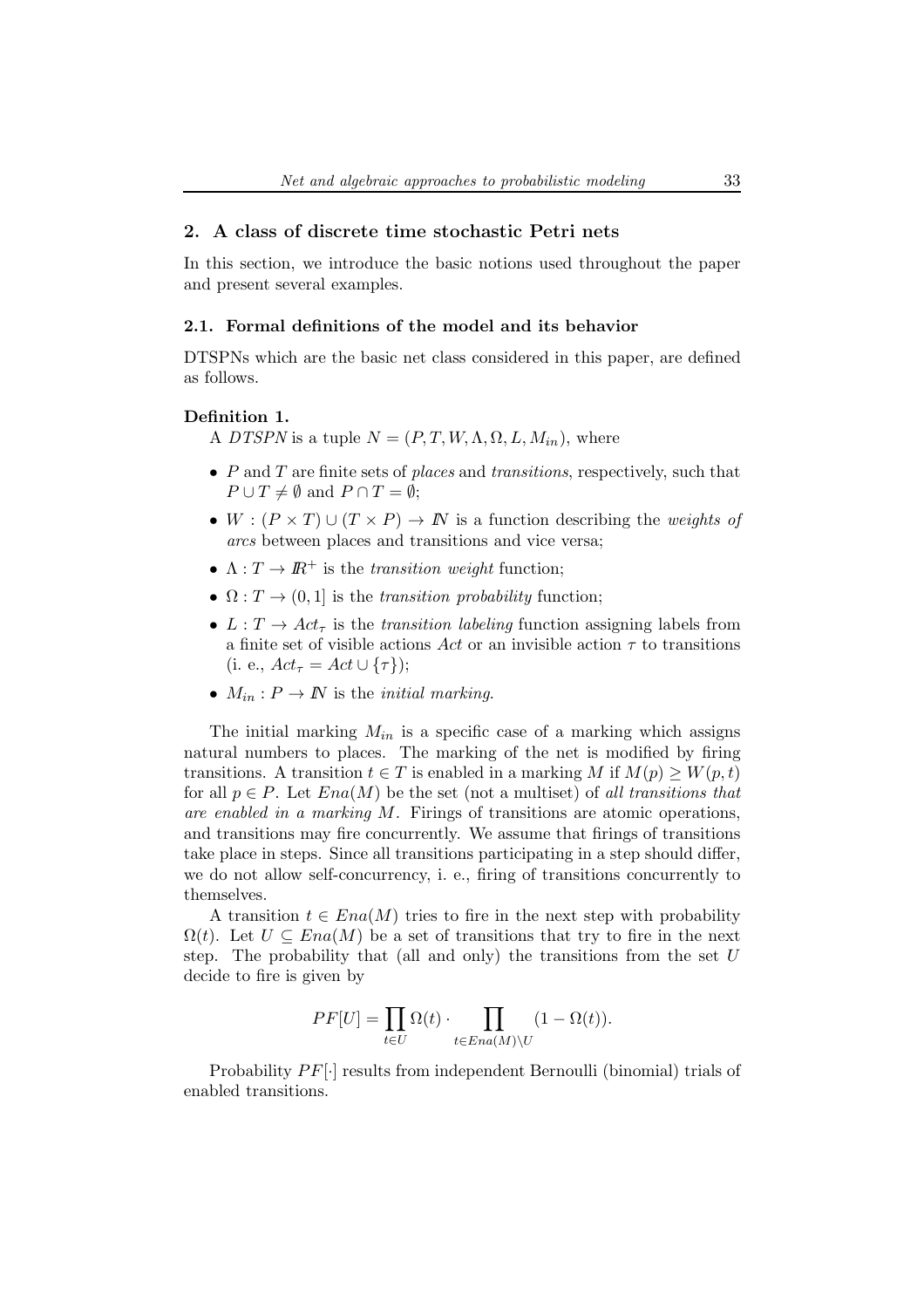## 2. A class of discrete time stochastic Petri nets

In this section, we introduce the basic notions used throughout the paper and present several examples.

### 2.1. Formal definitions of the model and its behavior

DTSPNs which are the basic net class considered in this paper, are defined as follows.

### Definition 1.

A DTSPN is a tuple  $N = (P, T, W, \Lambda, \Omega, L, M_{in})$ , where

- $P$  and  $T$  are finite sets of places and transitions, respectively, such that  $P \cup T \neq \emptyset$  and  $P \cap T = \emptyset$ ;
- $W : (P \times T) \cup (T \times P) \rightarrow \mathbb{N}$  is a function describing the *weights* of arcs between places and transitions and vice versa;
- $\Lambda: T \to I\!\!R^+$  is the *transition weight* function;
- $\Omega: T \to (0, 1]$  is the transition probability function;
- $L: T \to Act_\tau$  is the transition labeling function assigning labels from a finite set of visible actions Act or an invisible action  $\tau$  to transitions (i. e.,  $Act_{\tau} = Act \cup {\tau}$ );
- $M_{in}: P \to \mathbb{N}$  is the *initial marking*.

The initial marking  $M_{in}$  is a specific case of a marking which assigns natural numbers to places. The marking of the net is modified by firing transitions. A transition  $t \in T$  is enabled in a marking M if  $M(p) \geq W(p, t)$ for all  $p \in P$ . Let  $Ena(M)$  be the set (not a multiset) of all transitions that are enabled in a marking  $M$ . Firings of transitions are atomic operations, and transitions may fire concurrently. We assume that firings of transitions take place in steps. Since all transitions participating in a step should differ, we do not allow self-concurrency, i. e., firing of transitions concurrently to themselves.

A transition  $t \in Ena(M)$  tries to fire in the next step with probability  $\Omega(t)$ . Let  $U \subseteq Ena(M)$  be a set of transitions that try to fire in the next step. The probability that (all and only) the transitions from the set  $U$ decide to fire is given by

$$
PF[U] = \prod_{t \in U} \Omega(t) \cdot \prod_{t \in Ena(M) \setminus U} (1 - \Omega(t)).
$$

Probability  $PF[\cdot]$  results from independent Bernoulli (binomial) trials of enabled transitions.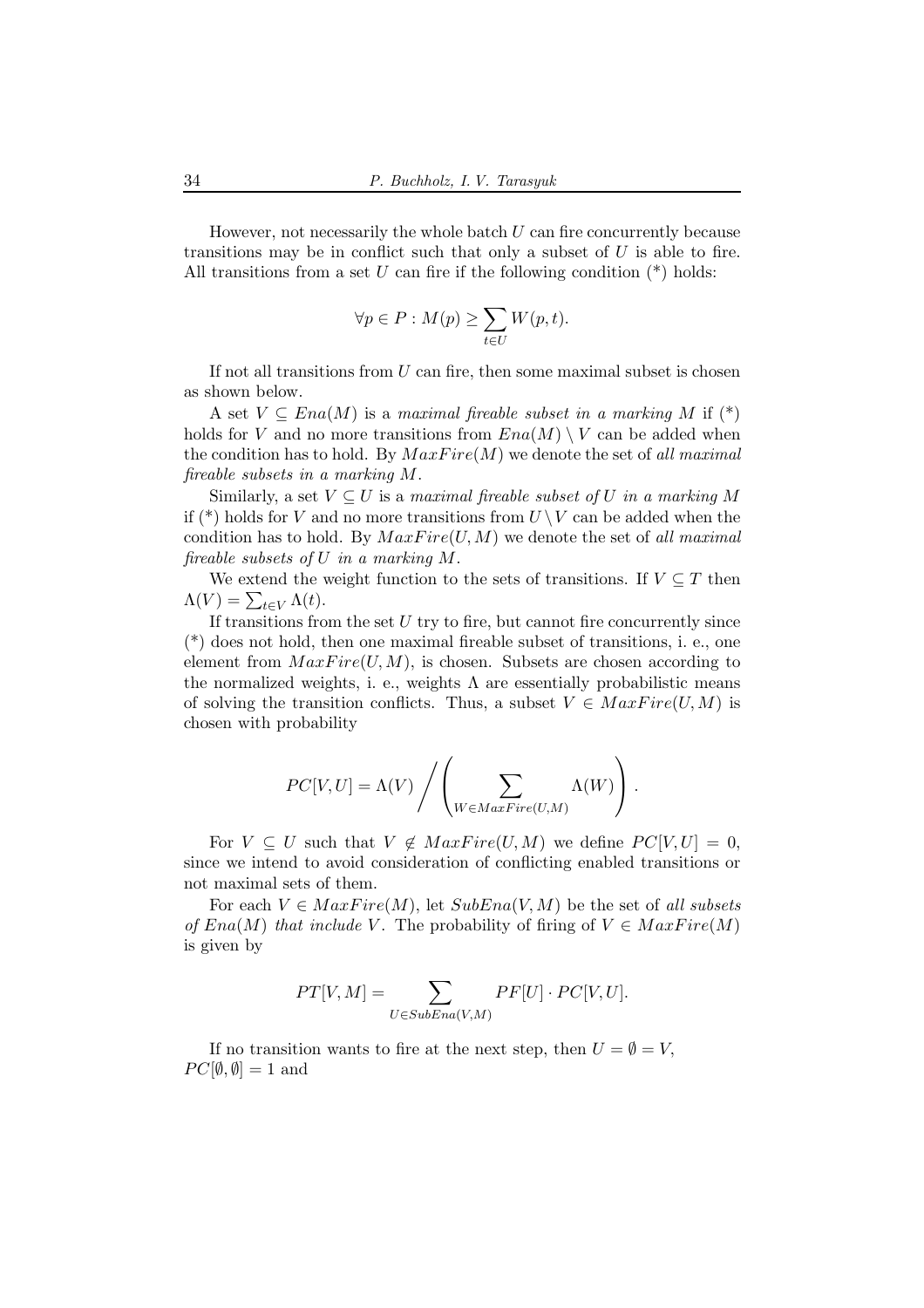However, not necessarily the whole batch  $U$  can fire concurrently because transitions may be in conflict such that only a subset of  $U$  is able to fire. All transitions from a set U can fire if the following condition  $(*)$  holds:

$$
\forall p\in P: M(p)\geq \sum_{t\in U} W(p,t).
$$

If not all transitions from  $U$  can fire, then some maximal subset is chosen as shown below.

A set  $V \subseteq Ena(M)$  is a maximal fireable subset in a marking M if  $(*)$ holds for V and no more transitions from  $Ena(M) \setminus V$  can be added when the condition has to hold. By  $MaxFire(M)$  we denote the set of all maximal fireable subsets in a marking M.

Similarly, a set  $V \subseteq U$  is a maximal fireable subset of U in a marking M if (\*) holds for V and no more transitions from  $U \setminus V$  can be added when the condition has to hold. By  $MaxFire(U, M)$  we denote the set of all maximal fireable subsets of U in a marking M.

We extend the weight function to the sets of transitions. If  $V \subseteq T$  then  $\Lambda(V) = \sum_{t \in V} \Lambda(t).$ 

If transitions from the set  $U$  try to fire, but cannot fire concurrently since (\*) does not hold, then one maximal fireable subset of transitions, i. e., one element from  $MaxFire(U, M)$ , is chosen. Subsets are chosen according to the normalized weights, i. e., weights  $\Lambda$  are essentially probabilistic means of solving the transition conflicts. Thus, a subset  $V \in MaxFire(U, M)$  is chosen with probability

$$
PC[V, U] = \Lambda(V) / \left( \sum_{W \in MaxFire(U, M)} \Lambda(W) \right).
$$

For  $V \subseteq U$  such that  $V \notin MaxFire(U, M)$  we define  $PC[V, U] = 0$ , since we intend to avoid consideration of conflicting enabled transitions or not maximal sets of them.

For each  $V \in MaxFire(M)$ , let  $SubEna(V, M)$  be the set of all subsets of  $Ena(M)$  that include V. The probability of firing of  $V \in MaxFire(M)$ is given by

$$
PT[V, M] = \sum_{U \in SubEna(V, M)} PF[U] \cdot PC[V, U].
$$

If no transition wants to fire at the next step, then  $U = \emptyset = V$ ,  $PC[\emptyset, \emptyset] = 1$  and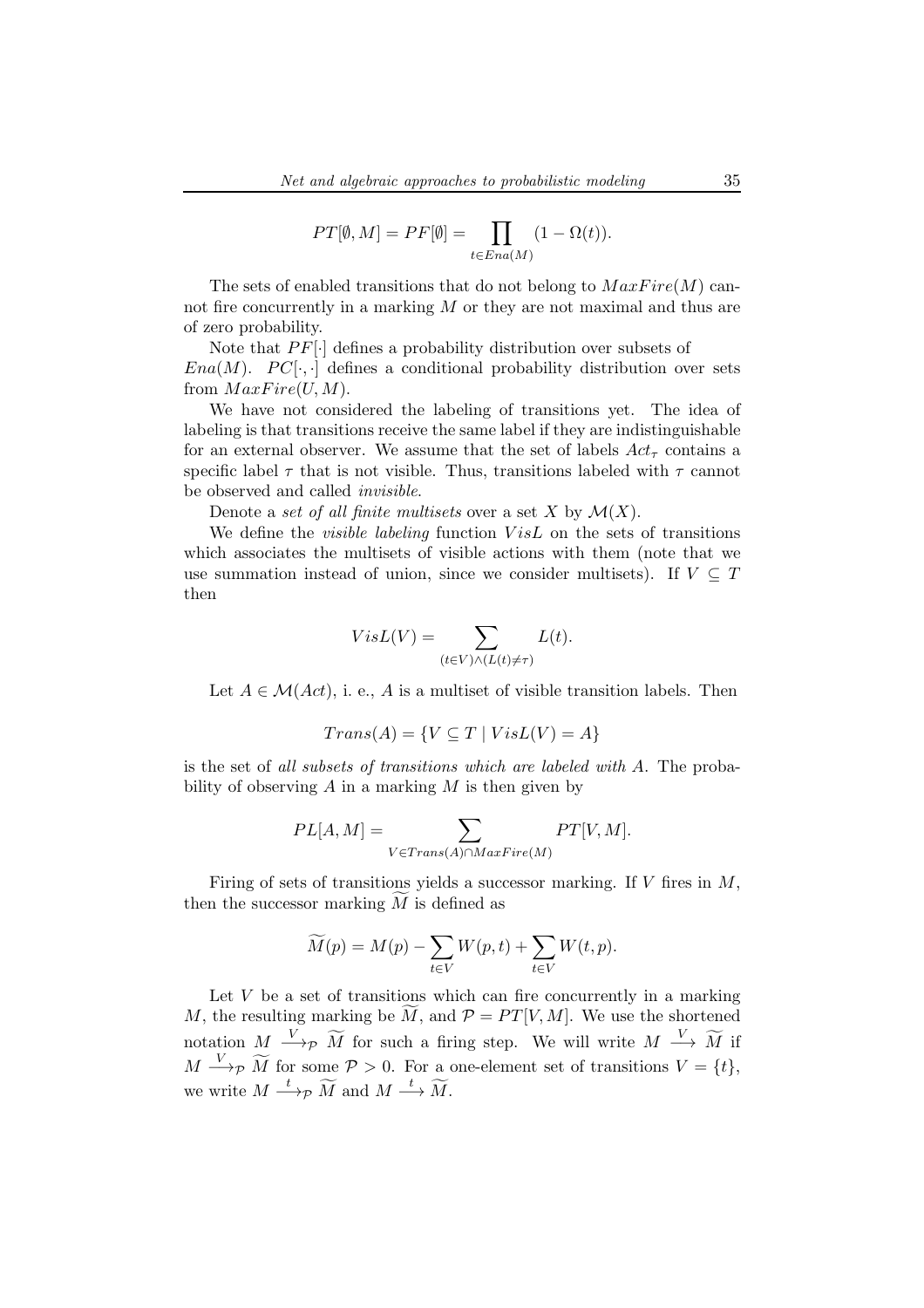$$
PT[\emptyset, M] = PF[\emptyset] = \prod_{t \in Ena(M)} (1 - \Omega(t)).
$$

The sets of enabled transitions that do not belong to  $MaxFire(M)$  cannot fire concurrently in a marking  $M$  or they are not maximal and thus are of zero probability.

Note that  $PF[\cdot]$  defines a probability distribution over subsets of Ena(M).  $PC[\cdot,\cdot]$  defines a conditional probability distribution over sets from  $MaxFire(U, M)$ .

We have not considered the labeling of transitions yet. The idea of labeling is that transitions receive the same label if they are indistinguishable for an external observer. We assume that the set of labels  $Act_{\tau}$  contains a specific label  $\tau$  that is not visible. Thus, transitions labeled with  $\tau$  cannot be observed and called invisible.

Denote a set of all finite multisets over a set X by  $\mathcal{M}(X)$ .

We define the *visible labeling* function  $VisL$  on the sets of transitions which associates the multisets of visible actions with them (note that we use summation instead of union, since we consider multisets). If  $V \subseteq T$ then

$$
VisL(V) = \sum_{(t \in V) \wedge (L(t) \neq \tau)} L(t).
$$

Let  $A \in \mathcal{M}(Act)$ , i. e., A is a multiset of visible transition labels. Then

$$
Trans(A) = \{ V \subseteq T \mid VisL(V) = A \}
$$

is the set of all subsets of transitions which are labeled with A. The probability of observing  $A$  in a marking  $M$  is then given by

$$
PL[A, M] = \sum_{V \in Trans(A) \cap MaxFire(M)} PT[V, M].
$$

Firing of sets of transitions yields a successor marking. If  $V$  fires in  $M$ , then the successor marking  $M$  is defined as

$$
\widetilde{M}(p) = M(p) - \sum_{t \in V} W(p, t) + \sum_{t \in V} W(t, p).
$$

Let  $V$  be a set of transitions which can fire concurrently in a marking M, the resulting marking be  $\widetilde{M}$ , and  $\mathcal{P} = PT[V, M]$ . We use the shortened notation  $M \xrightarrow{V} \widetilde{M}$  for such a firing step. We will write  $M \xrightarrow{V} \widetilde{M}$  if  $M \longrightarrow_{\mathcal{P}} \widetilde{M}$  for some  $\mathcal{P} > 0$ . For a one-element set of transitions  $V = \{t\},$ we write  $M \stackrel{t}{\longrightarrow} p \widetilde{M}$  and  $M \stackrel{t}{\longrightarrow} \widetilde{M}$ .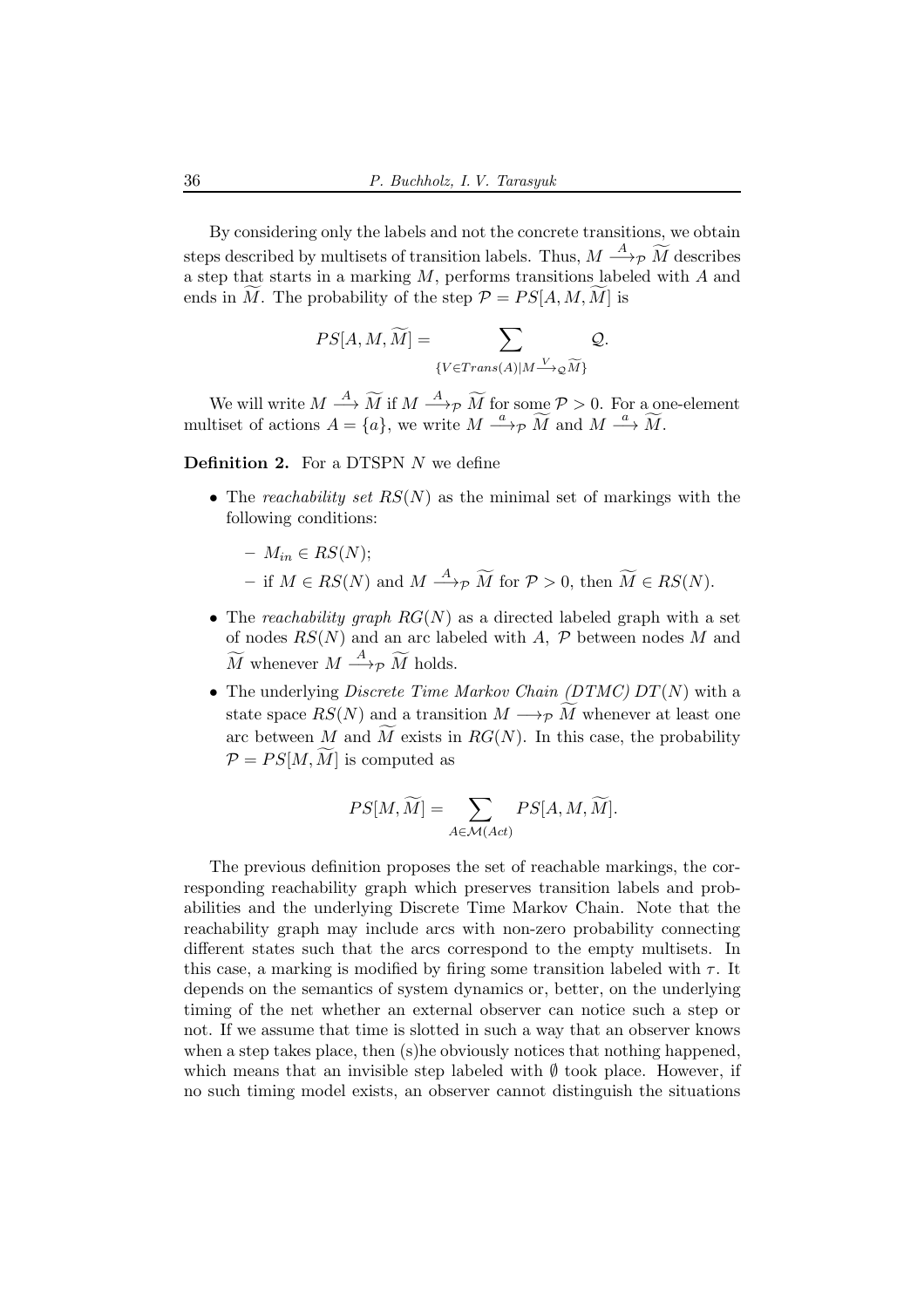By considering only the labels and not the concrete transitions, we obtain steps described by multisets of transition labels. Thus,  $M \stackrel{A}{\longrightarrow} p \widetilde{M}$  describes a step that starts in a marking M, performs transitions labeled with A and ends in M. The probability of the step  $P = PS[A, M, M]$  is

$$
PS[A,M,\widetilde{M}] = \sum_{\{V \in Trans(A)| M \xrightarrow{V} \varphi \widetilde{M}\}} \mathcal{Q}.
$$

We will write  $M \stackrel{A}{\longrightarrow} \widetilde{M}$  if  $M \stackrel{A}{\longrightarrow} p \widetilde{M}$  for some  $p > 0$ . For a one-element multiset of actions  $A = \{a\}$ , we write  $M \stackrel{a}{\longrightarrow} \widetilde{M}$  and  $M \stackrel{a}{\longrightarrow} \widetilde{M}$ .

**Definition 2.** For a DTSPN  $N$  we define

• The reachability set  $RS(N)$  as the minimal set of markings with the following conditions:

$$
- M_{in} \in RS(N);
$$

- − if  $M \in RS(N)$  and  $M \stackrel{A}{\longrightarrow} p \widetilde{M}$  for  $P > 0$ , then  $\widetilde{M} \in RS(N)$ .
- The reachability graph  $RG(N)$  as a directed labeled graph with a set of nodes  $RS(N)$  and an arc labeled with A,  $P$  between nodes M and  $\widetilde{M}$  whenever  $M \stackrel{A}{\longrightarrow} \widetilde{p} \widetilde{M}$  holds.
- The underlying *Discrete Time Markov Chain (DTMC)*  $DT(N)$  with a state space  $RS(N)$  and a transition  $M \longrightarrow_{\mathcal{P}} \widetilde{M}$  whenever at least one arc between M and M exists in  $RG(N)$ . In this case, the probability  $\mathcal{P} = PS[M, \tilde{M}]$  is computed as

$$
PS[M,\widetilde{M}] = \sum_{A \in \mathcal{M}(Act)} PS[A,M,\widetilde{M}].
$$

The previous definition proposes the set of reachable markings, the corresponding reachability graph which preserves transition labels and probabilities and the underlying Discrete Time Markov Chain. Note that the reachability graph may include arcs with non-zero probability connecting different states such that the arcs correspond to the empty multisets. In this case, a marking is modified by firing some transition labeled with  $\tau$ . It depends on the semantics of system dynamics or, better, on the underlying timing of the net whether an external observer can notice such a step or not. If we assume that time is slotted in such a way that an observer knows when a step takes place, then (s)he obviously notices that nothing happened, which means that an invisible step labeled with  $\emptyset$  took place. However, if no such timing model exists, an observer cannot distinguish the situations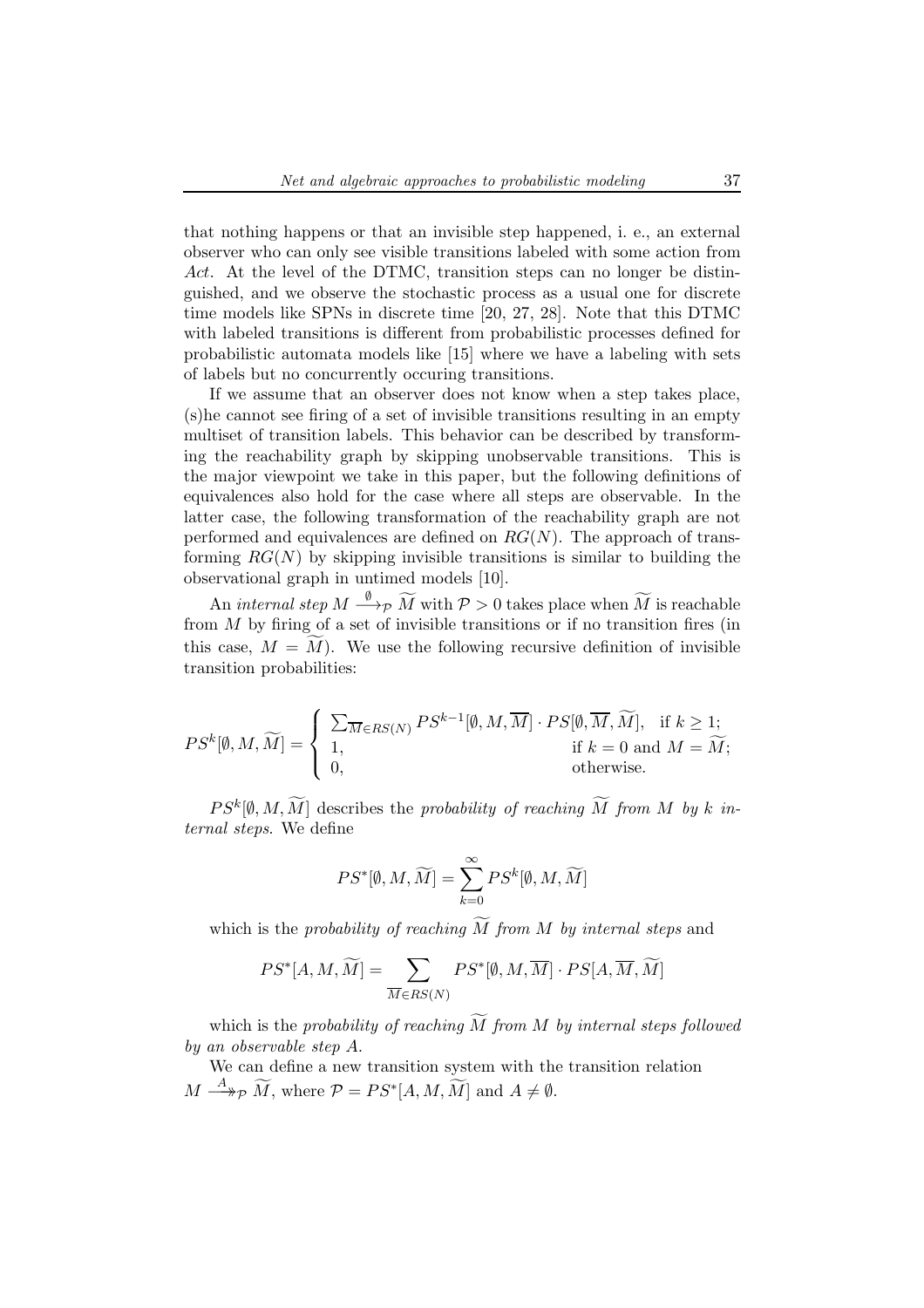that nothing happens or that an invisible step happened, i. e., an external observer who can only see visible transitions labeled with some action from Act. At the level of the DTMC, transition steps can no longer be distinguished, and we observe the stochastic process as a usual one for discrete time models like SPNs in discrete time [20, 27, 28]. Note that this DTMC with labeled transitions is different from probabilistic processes defined for probabilistic automata models like [15] where we have a labeling with sets of labels but no concurrently occuring transitions.

If we assume that an observer does not know when a step takes place, (s)he cannot see firing of a set of invisible transitions resulting in an empty multiset of transition labels. This behavior can be described by transforming the reachability graph by skipping unobservable transitions. This is the major viewpoint we take in this paper, but the following definitions of equivalences also hold for the case where all steps are observable. In the latter case, the following transformation of the reachability graph are not performed and equivalences are defined on  $RG(N)$ . The approach of transforming  $RG(N)$  by skipping invisible transitions is similar to building the observational graph in untimed models [10].

An internal step  $M \stackrel{\emptyset}{\longrightarrow}_\mathcal{P} \widetilde{M}$  with  $\mathcal{P} > 0$  takes place when  $\widetilde{M}$  is reachable from  $M$  by firing of a set of invisible transitions or if no transition fires (in this case,  $M = \overline{M}$ ). We use the following recursive definition of invisible transition probabilities:

$$
PS^k[\emptyset, M, \widetilde{M}] = \begin{cases} \sum_{\overline{M} \in RS(N)} PS^{k-1}[\emptyset, M, \overline{M}] \cdot PS[\emptyset, \overline{M}, \widetilde{M}], & \text{if } k \ge 1; \\ 1, & \text{if } k = 0 \text{ and } M = \widetilde{M}; \\ 0, & \text{otherwise.} \end{cases}
$$

 $PS^k[\emptyset, M, M]$  describes the probability of reaching M from M by k internal steps. We define

$$
PS^*[\emptyset, M, \widetilde{M}] = \sum_{k=0}^{\infty} PS^k[\emptyset, M, \widetilde{M}]
$$

which is the probability of reaching  $\widetilde{M}$  from M by internal steps and

$$
PS^*[A, M, \widetilde{M}] = \sum_{\overline{M} \in RS(N)} PS^*[\emptyset, M, \overline{M}] \cdot PS[A, \overline{M}, \widetilde{M}]
$$

which is the probability of reaching  $\widetilde{M}$  from M by internal steps followed by an observable step A.

We can define a new transition system with the transition relation  $M \longrightarrow^A_{\mathcal{P}} \widetilde{M}$ , where  $\mathcal{P} = PS^*[A, M, \widetilde{M}]$  and  $A \neq \emptyset$ .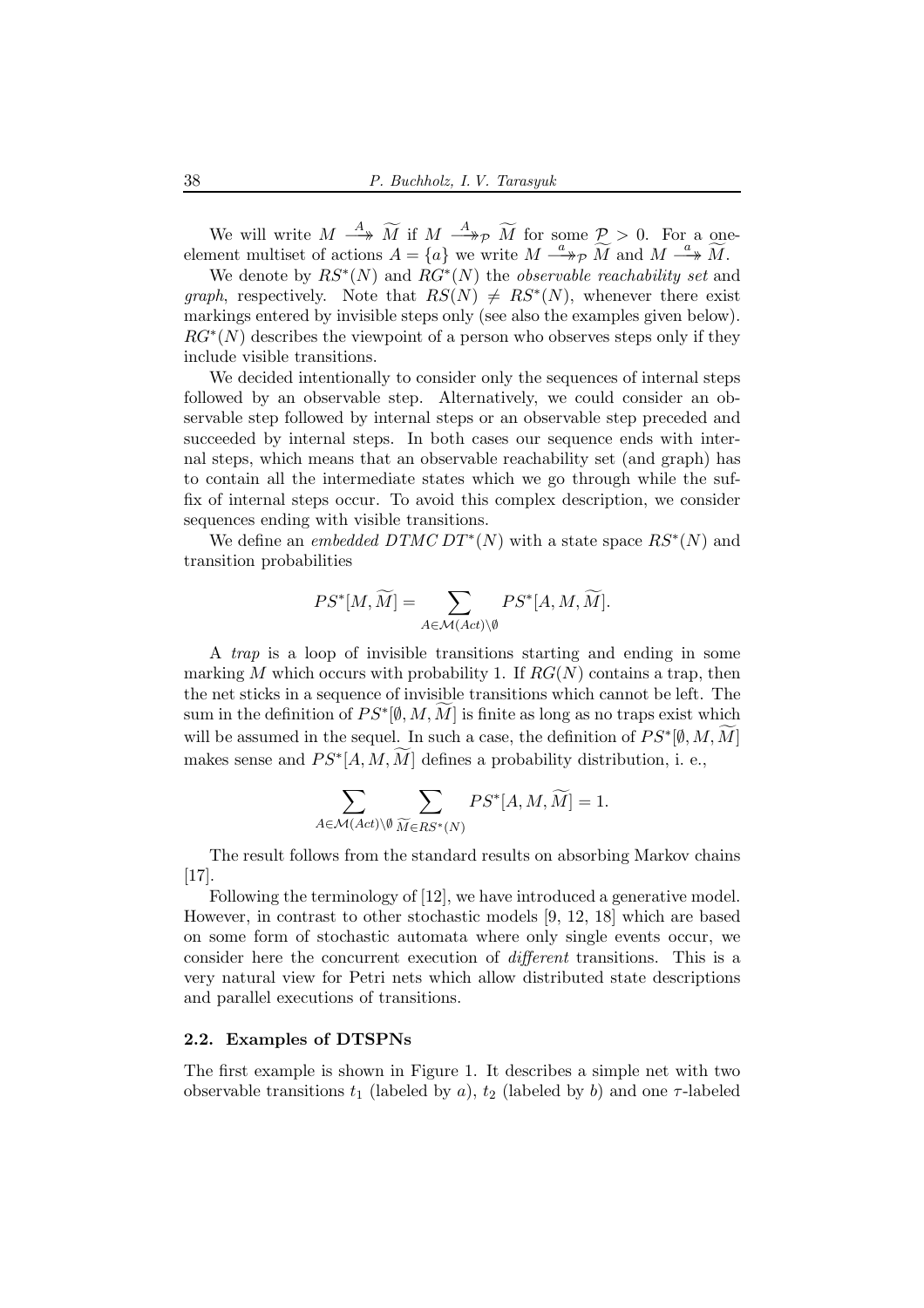We will write  $M \stackrel{A}{\longrightarrow} \widetilde{M}$  if  $M \stackrel{A}{\longrightarrow} \widetilde{M}$  for some  $\mathcal{P} > 0$ . For a oneelement multiset of actions  $A = \{a\}$  we write  $M \stackrel{a}{\longrightarrow}_{\mathcal{P}} \widetilde{M}$  and  $M \stackrel{a}{\longrightarrow}_{\mathcal{M}} \widetilde{M}$ .

We denote by  $RS^*(N)$  and  $RG^*(N)$  the *observable reachability set* and graph, respectively. Note that  $RS(N) \neq RS^*(N)$ , whenever there exist markings entered by invisible steps only (see also the examples given below).  $RG^*(N)$  describes the viewpoint of a person who observes steps only if they include visible transitions.

We decided intentionally to consider only the sequences of internal steps followed by an observable step. Alternatively, we could consider an observable step followed by internal steps or an observable step preceded and succeeded by internal steps. In both cases our sequence ends with internal steps, which means that an observable reachability set (and graph) has to contain all the intermediate states which we go through while the suffix of internal steps occur. To avoid this complex description, we consider sequences ending with visible transitions.

We define an *embedded DTMC DT*<sup>\*</sup>(N) with a state space  $RS^*(N)$  and transition probabilities

$$
PS^*[M, \widetilde{M}] = \sum_{A \in \mathcal{M}(Act) \backslash \emptyset} PS^*[A, M, \widetilde{M}].
$$

A trap is a loop of invisible transitions starting and ending in some marking M which occurs with probability 1. If  $RG(N)$  contains a trap, then the net sticks in a sequence of invisible transitions which cannot be left. The sum in the definition of  $PS^*[\emptyset, M, \widetilde{M}]$  is finite as long as no traps exist which will be assumed in the sequel. In such a case, the definition of  $PS^*[\emptyset, M, \widetilde{M}]$ makes sense and  $PS^*[A, M, M]$  defines a probability distribution, i. e.,

$$
\sum_{A \in \mathcal{M}(Act)\backslash \emptyset} \sum_{\widetilde{M} \in RS^*(N)} PS^*[A, M, \widetilde{M}] = 1.
$$

The result follows from the standard results on absorbing Markov chains [17].

Following the terminology of [12], we have introduced a generative model. However, in contrast to other stochastic models [9, 12, 18] which are based on some form of stochastic automata where only single events occur, we consider here the concurrent execution of different transitions. This is a very natural view for Petri nets which allow distributed state descriptions and parallel executions of transitions.

#### 2.2. Examples of DTSPNs

The first example is shown in Figure 1. It describes a simple net with two observable transitions  $t_1$  (labeled by a),  $t_2$  (labeled by b) and one  $\tau$ -labeled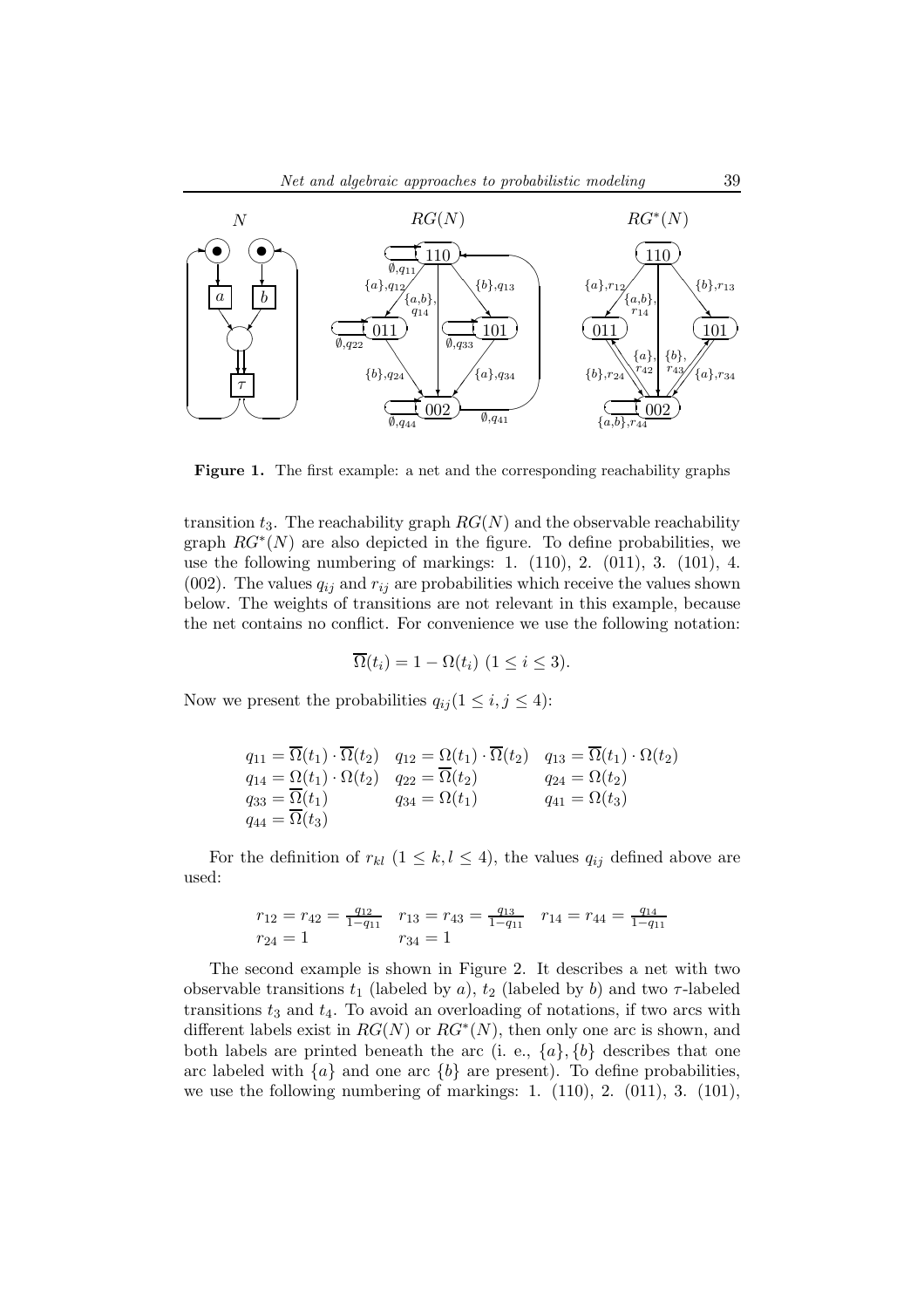

Figure 1. The first example: a net and the corresponding reachability graphs

transition  $t_3$ . The reachability graph  $RG(N)$  and the observable reachability graph  $RG^*(N)$  are also depicted in the figure. To define probabilities, we use the following numbering of markings: 1. (110), 2. (011), 3. (101), 4. (002). The values  $q_{ij}$  and  $r_{ij}$  are probabilities which receive the values shown below. The weights of transitions are not relevant in this example, because the net contains no conflict. For convenience we use the following notation:

$$
\overline{\Omega}(t_i) = 1 - \Omega(t_i) \ (1 \leq i \leq 3).
$$

Now we present the probabilities  $q_{ij} (1 \leq i, j \leq 4)$ :

$$
q_{11} = \overline{\Omega}(t_1) \cdot \overline{\Omega}(t_2) \quad q_{12} = \Omega(t_1) \cdot \overline{\Omega}(t_2) \quad q_{13} = \overline{\Omega}(t_1) \cdot \Omega(t_2)
$$
  
\n
$$
q_{14} = \Omega(t_1) \cdot \Omega(t_2) \quad q_{22} = \overline{\Omega}(t_2) \quad q_{24} = \Omega(t_2)
$$
  
\n
$$
q_{33} = \overline{\Omega}(t_1) \quad q_{34} = \Omega(t_1) \quad q_{41} = \Omega(t_3)
$$
  
\n
$$
q_{44} = \overline{\Omega}(t_3)
$$

For the definition of  $r_{kl}$   $(1 \leq k, l \leq 4)$ , the values  $q_{ij}$  defined above are used:

$$
r_{12} = r_{42} = \frac{q_{12}}{1 - q_{11}} \quad r_{13} = r_{43} = \frac{q_{13}}{1 - q_{11}} \quad r_{14} = r_{44} = \frac{q_{14}}{1 - q_{11}}
$$

$$
r_{24} = 1 \qquad r_{34} = 1
$$

The second example is shown in Figure 2. It describes a net with two observable transitions  $t_1$  (labeled by a),  $t_2$  (labeled by b) and two  $\tau$ -labeled transitions  $t_3$  and  $t_4$ . To avoid an overloading of notations, if two arcs with different labels exist in  $RG(N)$  or  $RG^*(N)$ , then only one arc is shown, and both labels are printed beneath the arc (i. e.,  $\{a\}$ ,  $\{b\}$  describes that one arc labeled with  $\{a\}$  and one arc  $\{b\}$  are present). To define probabilities, we use the following numbering of markings: 1. (110), 2. (011), 3. (101),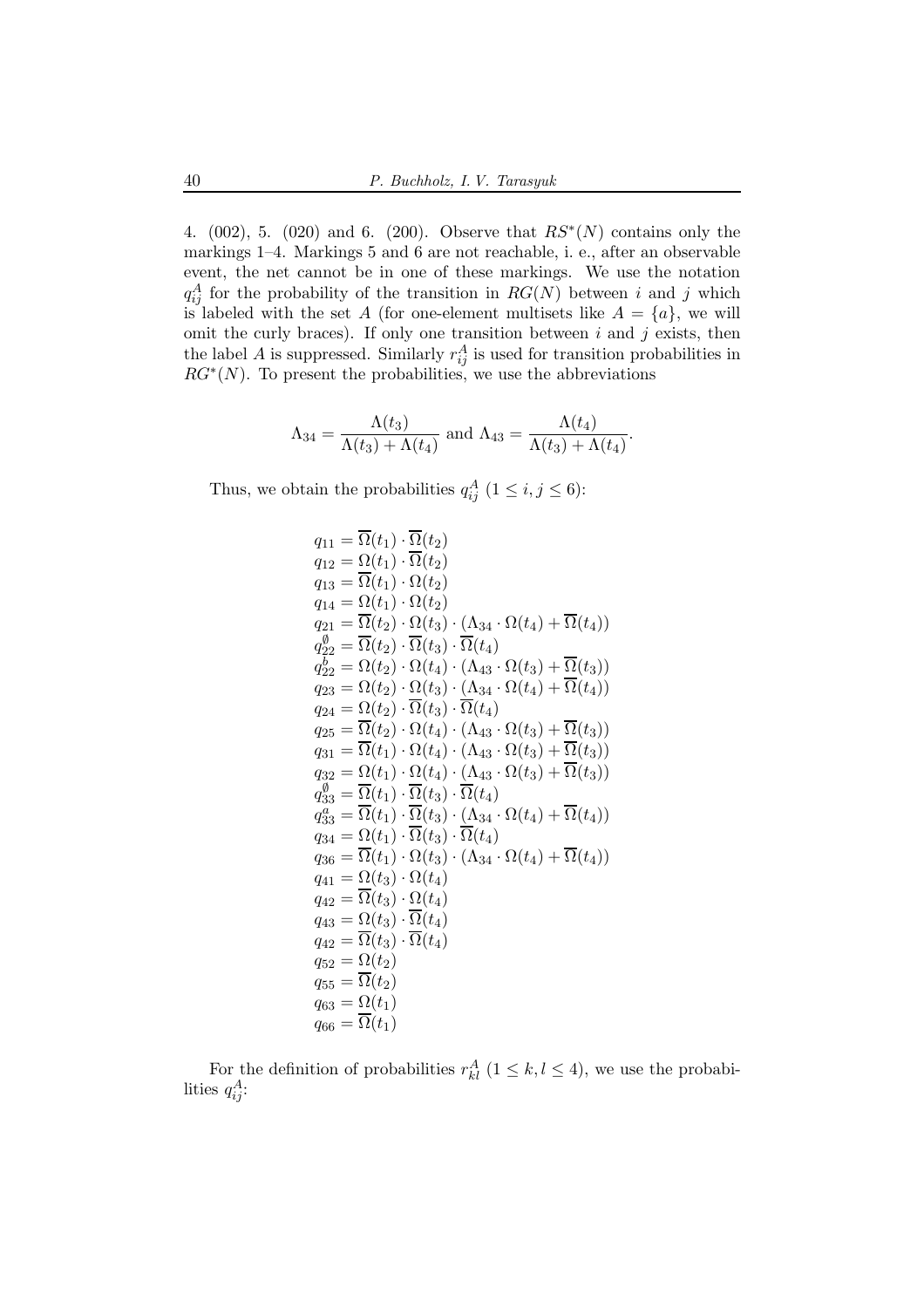4.  $(002)$ , 5.  $(020)$  and 6.  $(200)$ . Observe that  $RS^*(N)$  contains only the markings 1–4. Markings 5 and 6 are not reachable, i. e., after an observable event, the net cannot be in one of these markings. We use the notation  $q_{ij}^A$  for the probability of the transition in  $RG(N)$  between i and j which is labeled with the set A (for one-element multisets like  $A = \{a\}$ , we will omit the curly braces). If only one transition between  $i$  and  $j$  exists, then the label A is suppressed. Similarly  $r_{ij}^A$  is used for transition probabilities in  $RG^*(N)$ . To present the probabilities, we use the abbreviations

$$
\Lambda_{34} = \frac{\Lambda(t_3)}{\Lambda(t_3) + \Lambda(t_4)} \text{ and } \Lambda_{43} = \frac{\Lambda(t_4)}{\Lambda(t_3) + \Lambda(t_4)}.
$$

Thus, we obtain the probabilities  $q_{ij}^A$   $(1 \le i, j \le 6)$ :

$$
q_{11} = \overline{\Omega}(t_1) \cdot \overline{\Omega}(t_2)
$$
  
\n
$$
q_{12} = \Omega(t_1) \cdot \overline{\Omega}(t_2)
$$
  
\n
$$
q_{13} = \overline{\Omega}(t_1) \cdot \Omega(t_2)
$$
  
\n
$$
q_{14} = \Omega(t_1) \cdot \Omega(t_2)
$$
  
\n
$$
q_{21} = \overline{\Omega}(t_2) \cdot \Omega(t_3) \cdot (\Lambda_{34} \cdot \Omega(t_4) + \overline{\Omega}(t_4))
$$
  
\n
$$
q_{22}^0 = \overline{\Omega}(t_2) \cdot \overline{\Omega}(t_3) \cdot \overline{\Omega}(t_4)
$$
  
\n
$$
q_{22}^b = \Omega(t_2) \cdot \Omega(t_4) \cdot (\Lambda_{43} \cdot \Omega(t_3) + \overline{\Omega}(t_3))
$$
  
\n
$$
q_{23} = \Omega(t_2) \cdot \Omega(t_3) \cdot (\Lambda_{34} \cdot \Omega(t_4) + \overline{\Omega}(t_4))
$$
  
\n
$$
q_{24} = \Omega(t_2) \cdot \overline{\Omega}(t_3) \cdot \overline{\Omega}(t_4)
$$
  
\n
$$
q_{25} = \overline{\Omega}(t_2) \cdot \Omega(t_4) \cdot (\Lambda_{43} \cdot \Omega(t_3) + \overline{\Omega}(t_3))
$$
  
\n
$$
q_{31} = \overline{\Omega}(t_1) \cdot \Omega(t_4) \cdot (\Lambda_{43} \cdot \Omega(t_3) + \overline{\Omega}(t_3))
$$
  
\n
$$
q_{32} = \Omega(t_1) \cdot \overline{\Omega}(t_4) \cdot (\Lambda_{43} \cdot \Omega(t_3) + \overline{\Omega}(t_3))
$$
  
\n
$$
q_{33}^0 = \overline{\Omega}(t_1) \cdot \overline{\Omega}(t_3) \cdot \overline{\Omega}(t_4)
$$
  
\n
$$
q_{34}^a = \Omega(t_1) \cdot \overline{\Omega}(t_3) \cdot (\Lambda_{34} \cdot \Omega(t_4) + \overline{\Omega}(t_4))
$$
  
\n
$$
q_{36} = \overline{\Omega}(t_1) \cdot \Omega(t_3) \cdot (\Lambda_{
$$

For the definition of probabilities  $r_{kl}^A$   $(1 \leq k, l \leq 4)$ , we use the probabilities  $q_{ij}^A$ :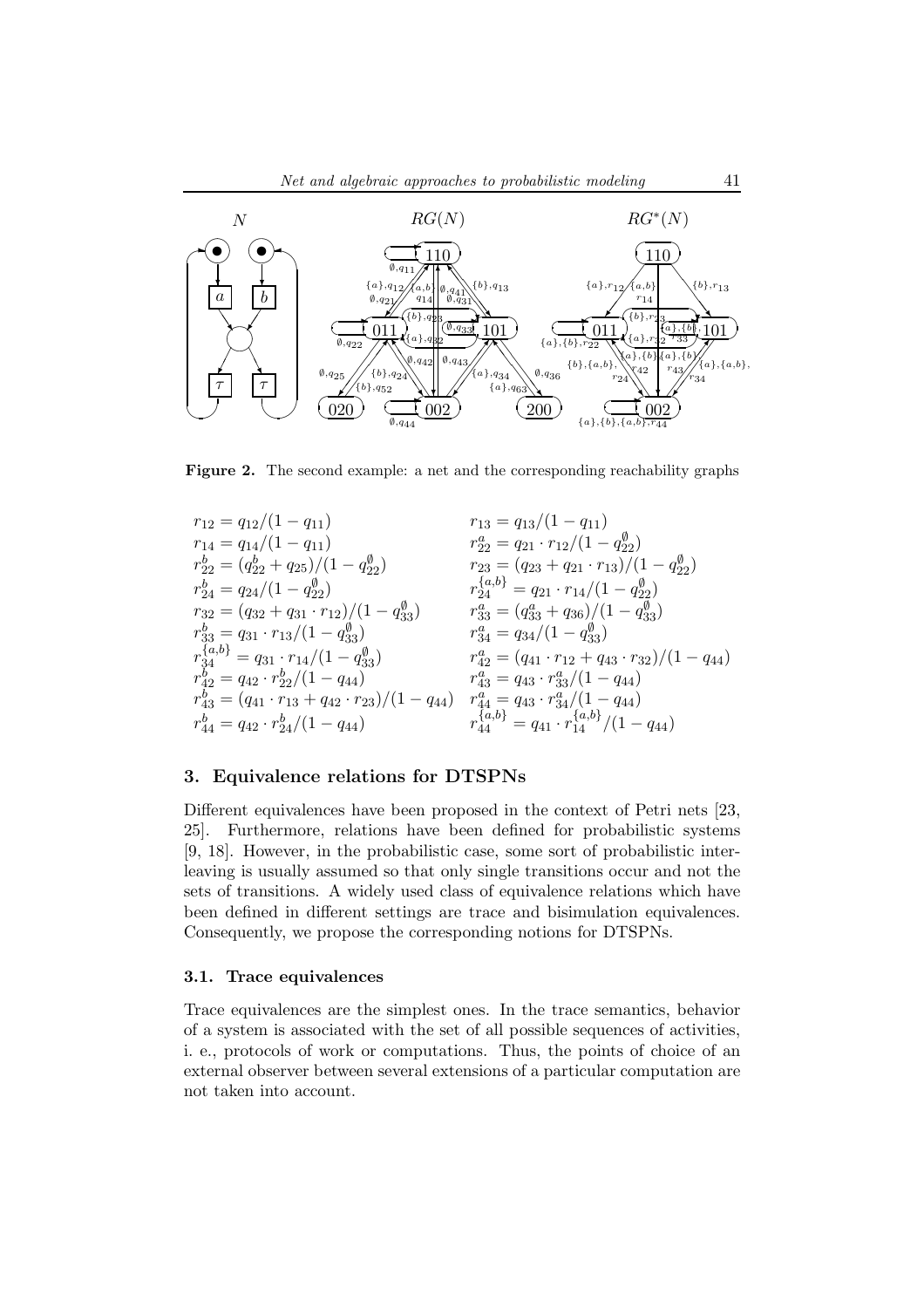

Figure 2. The second example: a net and the corresponding reachability graphs

$$
\begin{array}{llll} r_{12}=q_{12}/(1-q_{11}) & r_{13}=q_{13}/(1-q_{11}) \\ r_{14}=q_{14}/(1-q_{11}) & r_{22}^2=q_{21}\cdot r_{12}/(1-q_{22}^{\emptyset}) \\ r_{22}^b=(q_{22}^b+q_{25})/(1-q_{22}^{\emptyset}) & r_{23}=(q_{23}+q_{21}\cdot r_{13})/(1-q_{22}^{\emptyset}) \\ r_{24}^b=q_{24}/(1-q_{22}^{\emptyset}) & r_{24}^{\{a,b\}}=q_{21}\cdot r_{14}/(1-q_{22}^{\emptyset}) \\ r_{33}^b=(q_{32}+q_{31}\cdot r_{12})/(1-q_{33}^{\emptyset}) & r_{33}^a=(q_{33}^a+q_{36})/(1-q_{33}^{\emptyset}) \\ r_{34}^{\{a,b\}}=q_{31}\cdot r_{13}/(1-q_{33}^{\emptyset}) & r_{34}^a=q_{34}/(1-q_{33}^{\emptyset}) \\ r_{34}^{\{a,b\}}=q_{31}\cdot r_{14}/(1-q_{33}^{\emptyset}) & r_{42}^a=(q_{41}\cdot r_{12}+q_{43}\cdot r_{32})/(1-q_{44}) \\ r_{42}^b=q_{42}\cdot r_{22}^b/(1-q_{44}) & r_{43}^a=q_{43}\cdot r_{33}^a/(1-q_{44}) \\ r_{43}^b=(q_{41}\cdot r_{13}+q_{42}\cdot r_{23})/(1-q_{44}) & r_{44}^a=q_{43}\cdot r_{34}^a/(1-q_{44}) \\ r_{44}^b=q_{42}\cdot r_{24}^b/(1-q_{44}) & r_{44}^{\{a,b\}}=q_{41}\cdot r_{14}^{\{a,b\}}/(1-q_{44}) \end{array}
$$

## 3. Equivalence relations for DTSPNs

Different equivalences have been proposed in the context of Petri nets [23, 25]. Furthermore, relations have been defined for probabilistic systems [9, 18]. However, in the probabilistic case, some sort of probabilistic interleaving is usually assumed so that only single transitions occur and not the sets of transitions. A widely used class of equivalence relations which have been defined in different settings are trace and bisimulation equivalences. Consequently, we propose the corresponding notions for DTSPNs.

## 3.1. Trace equivalences

Trace equivalences are the simplest ones. In the trace semantics, behavior of a system is associated with the set of all possible sequences of activities, i. e., protocols of work or computations. Thus, the points of choice of an external observer between several extensions of a particular computation are not taken into account.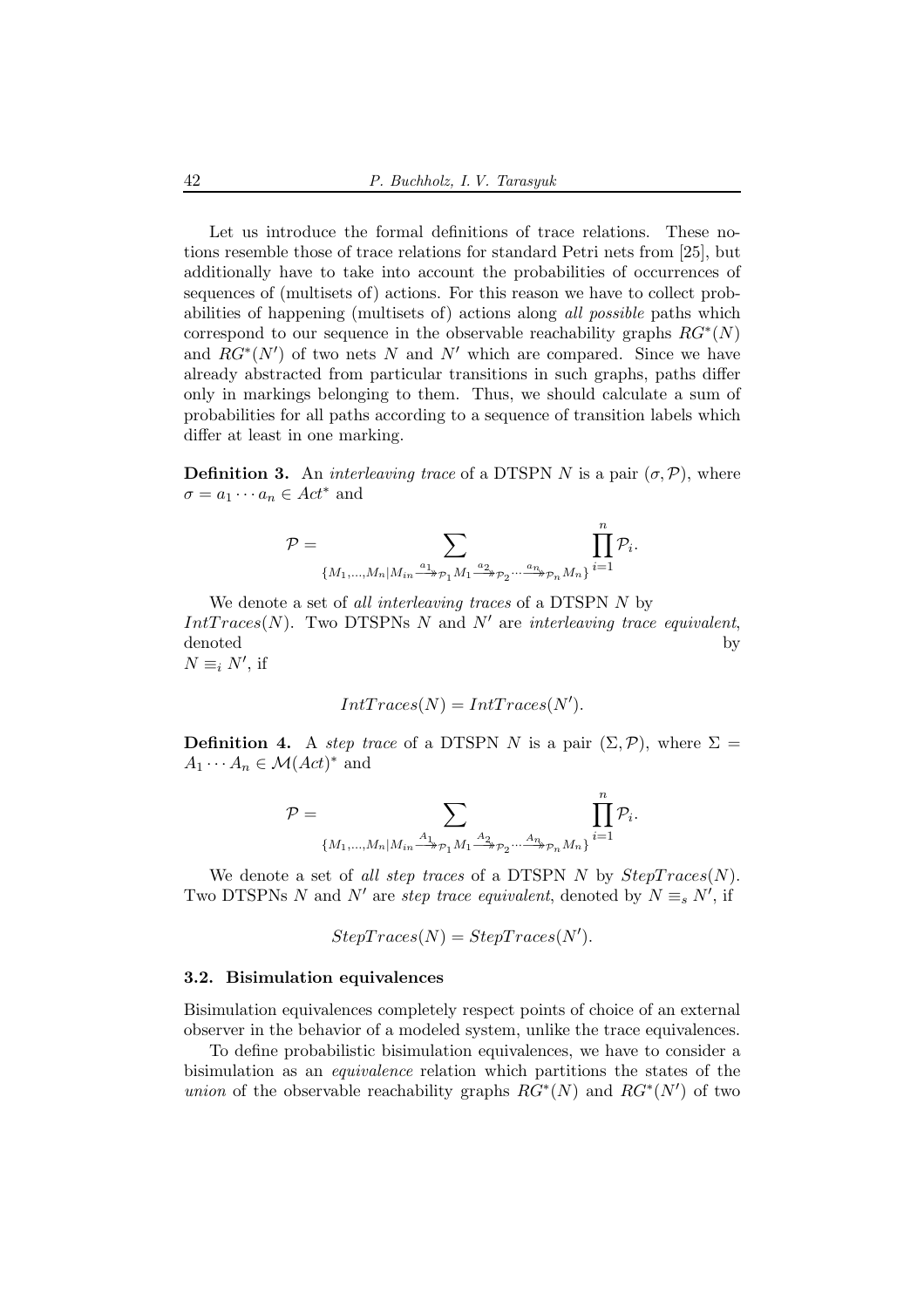Let us introduce the formal definitions of trace relations. These notions resemble those of trace relations for standard Petri nets from [25], but additionally have to take into account the probabilities of occurrences of sequences of (multisets of) actions. For this reason we have to collect probabilities of happening (multisets of) actions along all possible paths which correspond to our sequence in the observable reachability graphs  $RG^*(N)$ and  $RG^*(N')$  of two nets N and N' which are compared. Since we have already abstracted from particular transitions in such graphs, paths differ only in markings belonging to them. Thus, we should calculate a sum of probabilities for all paths according to a sequence of transition labels which differ at least in one marking.

**Definition 3.** An *interleaving trace* of a DTSPN N is a pair  $(\sigma, \mathcal{P})$ , where  $\sigma = a_1 \cdots a_n \in Act^*$  and

$$
\mathcal{P} = \sum_{\{M_1,\ldots,M_n \mid M_{in} \overset{a_1}{\longrightarrow} p_1M_1 \overset{a_2}{\longrightarrow} p_2 \cdots \overset{a_n}{\longrightarrow} p_nM_n\}} \prod_{i=1}^n \mathcal{P}_i.
$$

We denote a set of *all interleaving traces* of a DTSPN N by  $IntTrace(N)$ . Two DTSPNs N and N' are interleaving trace equivalent, denoted by  $N \equiv_i N'$ , if

$$
IntTraces(N) = IntTraces(N').
$$

**Definition 4.** A step trace of a DTSPN N is a pair  $(\Sigma, \mathcal{P})$ , where  $\Sigma =$  $A_1 \cdots A_n \in \mathcal{M}(Act)^*$  and

$$
\mathcal{P} = \sum_{\{M_1,\dots,M_n \mid M_{in} \stackrel{A_1}{\longrightarrow}_{\mathcal{P}_1} M_1 \stackrel{A_2}{\longrightarrow}_{\mathcal{P}_2} \dots \stackrel{A_n}{\longrightarrow}_{\mathcal{P}_n} M_n\}} \prod_{i=1}^n \mathcal{P}_i.
$$

We denote a set of all step traces of a DTSPN N by  $StepTrace(N)$ . Two DTSPNs N and N' are *step trace equivalent*, denoted by  $N \equiv_s N'$ , if

$$
StepTrace(N) = StepTrace(N').
$$

#### 3.2. Bisimulation equivalences

Bisimulation equivalences completely respect points of choice of an external observer in the behavior of a modeled system, unlike the trace equivalences.

To define probabilistic bisimulation equivalences, we have to consider a bisimulation as an equivalence relation which partitions the states of the *union* of the observable reachability graphs  $RG^*(N)$  and  $RG^*(N')$  of two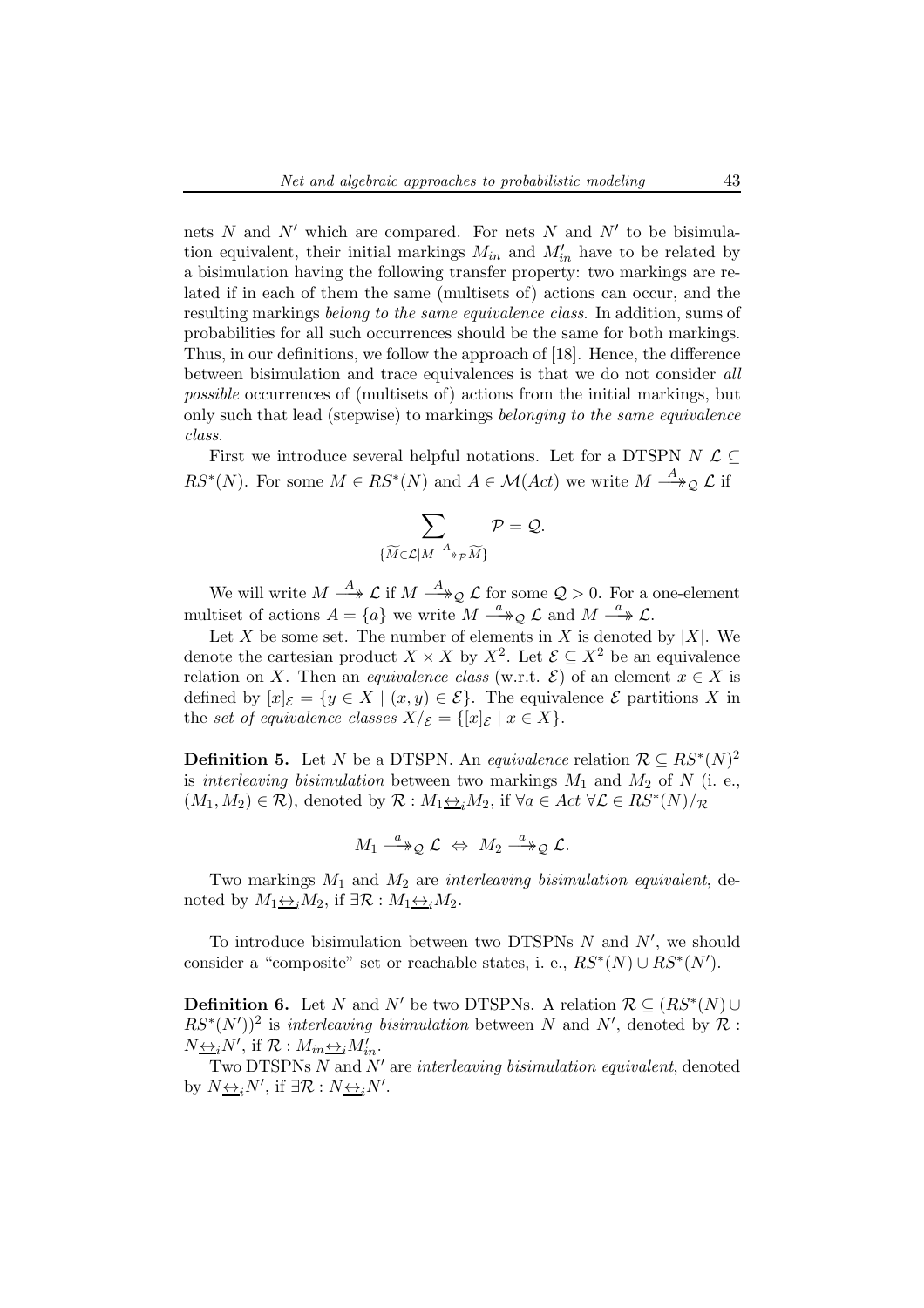nets  $N$  and  $N'$  which are compared. For nets  $N$  and  $N'$  to be bisimulation equivalent, their initial markings  $M_{in}$  and  $M'_{in}$  have to be related by a bisimulation having the following transfer property: two markings are related if in each of them the same (multisets of) actions can occur, and the resulting markings belong to the same equivalence class. In addition, sums of probabilities for all such occurrences should be the same for both markings. Thus, in our definitions, we follow the approach of [18]. Hence, the difference between bisimulation and trace equivalences is that we do not consider all possible occurrences of (multisets of) actions from the initial markings, but only such that lead (stepwise) to markings belonging to the same equivalence class.

First we introduce several helpful notations. Let for a DTSPN  $N$   $\mathcal{L} \subset$  $RS^*(N)$ . For some  $M \in RS^*(N)$  and  $A \in \mathcal{M}(Act)$  we write  $M \stackrel{A}{\longrightarrow}_\mathcal{Q} \mathcal{L}$  if

$$
\sum_{\{\widetilde{M}\in {\cal L}| M \stackrel{A}{\longrightarrow} p\widetilde{M}\}}{\cal P}={\cal Q}.
$$

We will write  $M \stackrel{A}{\longrightarrow} \mathcal{L}$  if  $M \stackrel{A}{\longrightarrow} \mathcal{Q} \mathcal{L}$  for some  $\mathcal{Q} > 0$ . For a one-element multiset of actions  $A = \{a\}$  we write  $M \stackrel{a}{\longrightarrow} Q \mathcal{L}$  and  $M \stackrel{a}{\longrightarrow} \mathcal{L}$ .

Let X be some set. The number of elements in X is denoted by  $|X|$ . We denote the cartesian product  $X \times X$  by  $X^2$ . Let  $\mathcal{E} \subseteq X^2$  be an equivalence relation on X. Then an *equivalence class* (w.r.t.  $\mathcal{E}$ ) of an element  $x \in X$  is defined by  $[x]_{\mathcal{E}} = \{y \in X \mid (x, y) \in \mathcal{E}\}\)$ . The equivalence  $\mathcal{E}$  partitions X in the set of equivalence classes  $X/\varepsilon = \{ [x]_\varepsilon \mid x \in X \}.$ 

**Definition 5.** Let N be a DTSPN. An *equivalence* relation  $\mathcal{R} \subseteq RS^*(N)^2$ is interleaving bisimulation between two markings  $M_1$  and  $M_2$  of N (i. e.,  $(M_1, M_2) \in \mathcal{R}$ , denoted by  $\mathcal{R}: M_1 \rightarrow M_2$ , if  $\forall a \in Act \ \forall \mathcal{L} \in RS^*(N)/\mathcal{R}$ 

$$
M_1 \stackrel{a}{\longrightarrow}_\mathcal{Q} \mathcal{L} \Leftrightarrow M_2 \stackrel{a}{\longrightarrow}_\mathcal{Q} \mathcal{L}.
$$

Two markings  $M_1$  and  $M_2$  are interleaving bisimulation equivalent, denoted by  $M_1 \leftrightarrow_i M_2$ , if  $\exists \mathcal{R} : M_1 \leftrightarrow_i M_2$ .

To introduce bisimulation between two DTSPNs  $N$  and  $N'$ , we should consider a "composite" set or reachable states, i. e.,  $RS^*(N) \cup RS^*(N')$ .

**Definition 6.** Let N and N' be two DTSPNs. A relation  $\mathcal{R} \subseteq (RS^*(N) \cup$  $RS^*(N')^2$  is interleaving bisimulation between N and N', denoted by R:  $N\underline{\leftrightarrow}_i N'$ , if  $\mathcal{R}: M_{in} \underline{\leftrightarrow}_i M'_{in}$ .

Two DTSPNs  $N$  and  $N'$  are interleaving bisimulation equivalent, denoted by  $N \underline{\leftrightarrow}_i N'$ , if  $\exists \mathcal{R} : N \underline{\leftrightarrow}_i N'$ .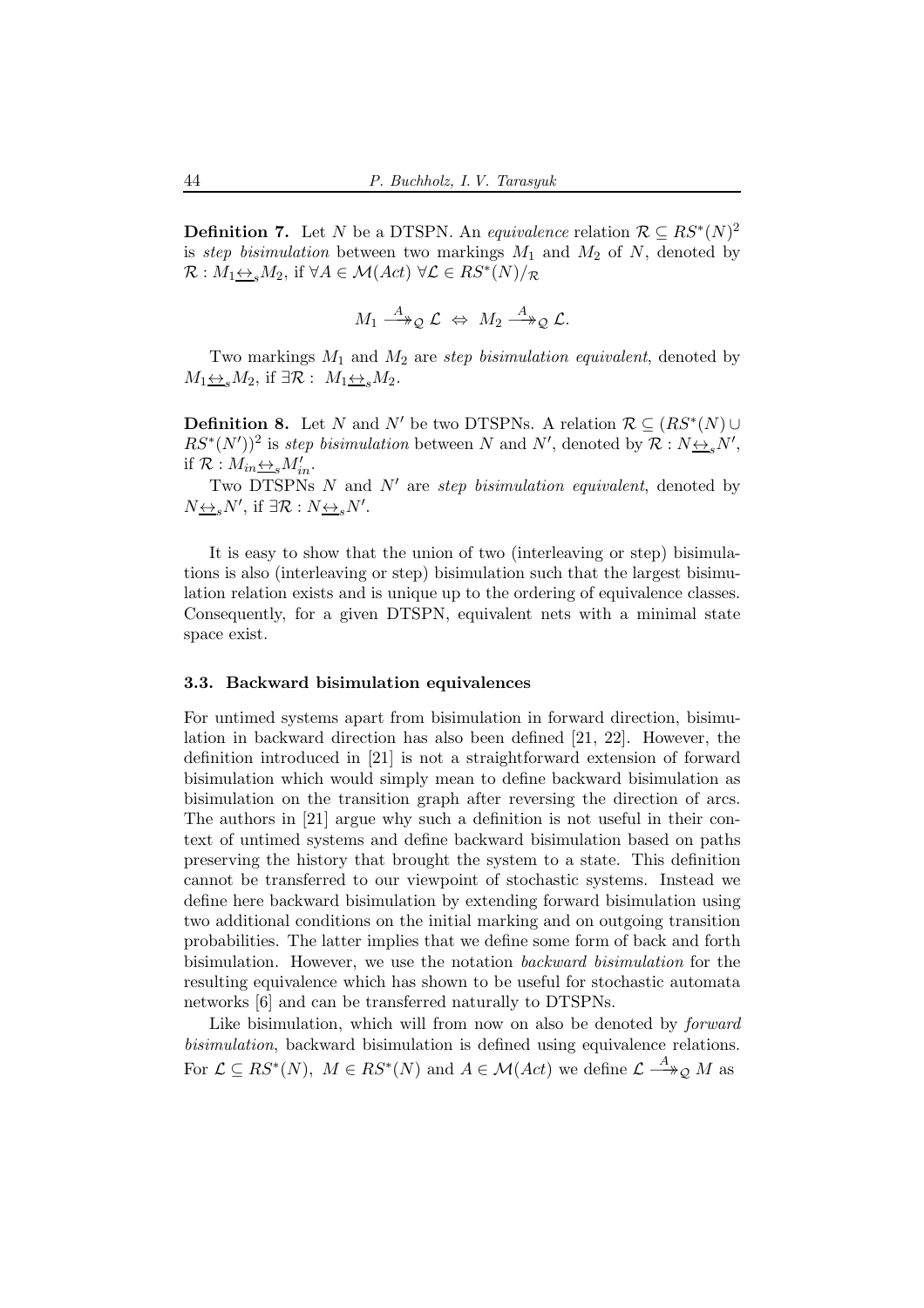**Definition 7.** Let N be a DTSPN. An *equivalence* relation  $\mathcal{R} \subseteq RS^*(N)^2$ is step bisimulation between two markings  $M_1$  and  $M_2$  of N, denoted by  $\mathcal{R}: M_1 \underline{\leftrightarrow}_s M_2$ , if  $\forall A \in \mathcal{M}(Act) \ \forall \mathcal{L} \in RS^*(N)/\mathcal{R}$ 

$$
M_1 \stackrel{A}{\longrightarrow}_\mathcal{Q} \mathcal{L} \Leftrightarrow M_2 \stackrel{A}{\longrightarrow}_\mathcal{Q} \mathcal{L}.
$$

Two markings  $M_1$  and  $M_2$  are step bisimulation equivalent, denoted by  $M_1 \underline{\leftrightarrow}_s M_2$ , if  $\exists \mathcal{R}: M_1 \underline{\leftrightarrow}_s M_2$ .

**Definition 8.** Let N and N' be two DTSPNs. A relation  $\mathcal{R} \subseteq (RS^*(N) \cup$  $RS^*(N')^2$  is step bisimulation between N and N', denoted by  $\mathcal{R}: N \rightarrow N'$ , if  $\mathcal{R}: M_{in} \underline{\leftrightarrow}_s M'_{in}$ .

Two DTSPNs  $N$  and  $N'$  are step bisimulation equivalent, denoted by  $N_{\underbrace{\leftrightarrow}s}N'$ , if  $\exists \mathcal{R}: N_{\underbrace{\leftrightarrow}s}N'$ .

It is easy to show that the union of two (interleaving or step) bisimulations is also (interleaving or step) bisimulation such that the largest bisimulation relation exists and is unique up to the ordering of equivalence classes. Consequently, for a given DTSPN, equivalent nets with a minimal state space exist.

#### 3.3. Backward bisimulation equivalences

For untimed systems apart from bisimulation in forward direction, bisimulation in backward direction has also been defined [21, 22]. However, the definition introduced in [21] is not a straightforward extension of forward bisimulation which would simply mean to define backward bisimulation as bisimulation on the transition graph after reversing the direction of arcs. The authors in [21] argue why such a definition is not useful in their context of untimed systems and define backward bisimulation based on paths preserving the history that brought the system to a state. This definition cannot be transferred to our viewpoint of stochastic systems. Instead we define here backward bisimulation by extending forward bisimulation using two additional conditions on the initial marking and on outgoing transition probabilities. The latter implies that we define some form of back and forth bisimulation. However, we use the notation backward bisimulation for the resulting equivalence which has shown to be useful for stochastic automata networks [6] and can be transferred naturally to DTSPNs.

Like bisimulation, which will from now on also be denoted by *forward* bisimulation, backward bisimulation is defined using equivalence relations. For  $\mathcal{L} \subseteq RS^*(N)$ ,  $M \in RS^*(N)$  and  $A \in \mathcal{M}(Act)$  we define  $\mathcal{L} \stackrel{A}{\longrightarrow}_\mathcal{Q} M$  as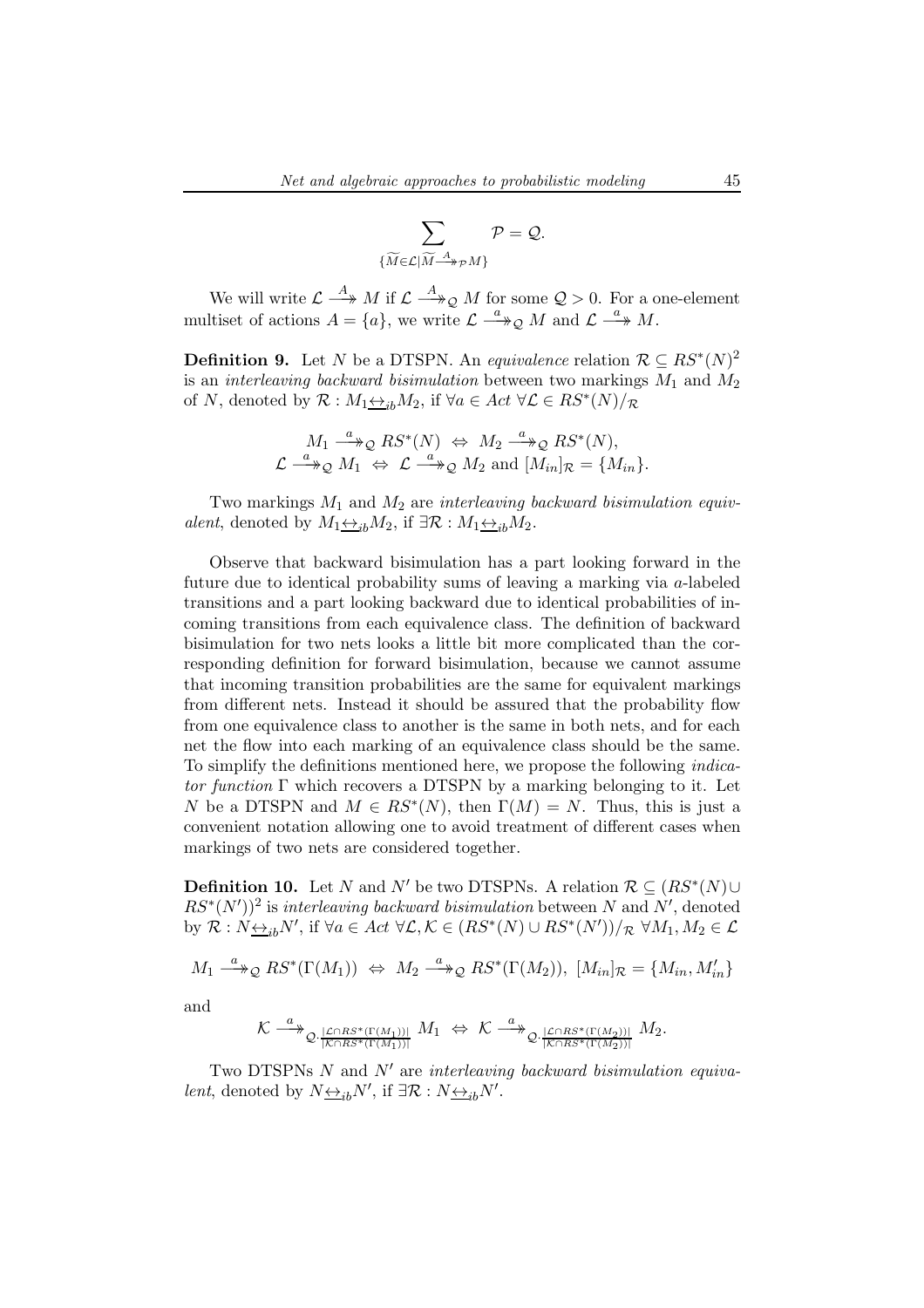$$
\sum_{\{\widetilde{M}\in\mathcal{L}|\widetilde{M}\xrightarrow{A}pM\}}\mathcal{P}=\mathcal{Q}.
$$

We will write  $\mathcal{L} \stackrel{A}{\longrightarrow} M$  if  $\mathcal{L} \stackrel{A}{\longrightarrow}_{\mathcal{Q}} M$  for some  $\mathcal{Q} > 0$ . For a one-element multiset of actions  $A = \{a\}$ , we write  $\mathcal{L} \stackrel{a}{\longrightarrow} \mathcal{Q}$  M and  $\mathcal{L} \stackrel{a}{\longrightarrow} M$ .

**Definition 9.** Let N be a DTSPN. An equivalence relation  $\mathcal{R} \subseteq RS^*(N)^2$ is an *interleaving backward bisimulation* between two markings  $M_1$  and  $M_2$ of N, denoted by  $\mathcal{R}: M_1 \rightarrow B_1 M_2$ , if  $\forall a \in Act \ \forall \mathcal{L} \in RS^*(N)/\mathcal{R}$ 

$$
M_1 \xrightarrow{a} \mathcal{Q} RS^*(N) \Leftrightarrow M_2 \xrightarrow{a} \mathcal{Q} RS^*(N),
$$
  

$$
\mathcal{L} \xrightarrow{a} \mathcal{Q} M_1 \Leftrightarrow \mathcal{L} \xrightarrow{a} \mathcal{Q} M_2 \text{ and } [M_{in}]_{\mathcal{R}} = \{M_{in}\}.
$$

Two markings  $M_1$  and  $M_2$  are interleaving backward bisimulation equivalent, denoted by  $M_1 \underline{\leftrightarrow}_{ib} M_2$ , if  $\exists \mathcal{R} : M_1 \underline{\leftrightarrow}_{ib} M_2$ .

Observe that backward bisimulation has a part looking forward in the future due to identical probability sums of leaving a marking via a-labeled transitions and a part looking backward due to identical probabilities of incoming transitions from each equivalence class. The definition of backward bisimulation for two nets looks a little bit more complicated than the corresponding definition for forward bisimulation, because we cannot assume that incoming transition probabilities are the same for equivalent markings from different nets. Instead it should be assured that the probability flow from one equivalence class to another is the same in both nets, and for each net the flow into each marking of an equivalence class should be the same. To simplify the definitions mentioned here, we propose the following indicator function  $\Gamma$  which recovers a DTSPN by a marking belonging to it. Let N be a DTSPN and  $M \in RS^*(N)$ , then  $\Gamma(M) = N$ . Thus, this is just a convenient notation allowing one to avoid treatment of different cases when markings of two nets are considered together.

**Definition 10.** Let N and N' be two DTSPNs. A relation  $\mathcal{R} \subseteq (RS^*(N) \cup$  $RS^*(N')^2$  is interleaving backward bisimulation between N and N', denoted by  $\mathcal{R}: N \underline{\leftrightarrow}_{ib} N'$ , if  $\forall a \in Act \ \forall \mathcal{L}, \mathcal{K} \in (RS^*(N) \cup RS^*(N'))/\mathcal{R} \ \forall M_1, M_2 \in \mathcal{L}$ 

$$
M_1 \xrightarrow{a} \mathfrak{D} RS^*(\Gamma(M_1)) \Leftrightarrow M_2 \xrightarrow{a} \mathfrak{D} RS^*(\Gamma(M_2)), [M_{in}]_{\mathcal{R}} = \{M_{in}, M'_{in}\}\
$$

and

$$
\mathcal{K} \overset{a}{\longrightarrow}_{{\mathcal{Q}} \cdot \frac{|\mathcal{L} \cap RS^*(\Gamma(M_1))|}{|\mathcal{K} \cap RS^*(\Gamma(M_1))|}} M_1 \Leftrightarrow \mathcal{K} \overset{a}{\longrightarrow}_{{\mathcal{Q}} \cdot \frac{|\mathcal{L} \cap RS^*(\Gamma(M_2))|}{|\mathcal{K} \cap RS^*(\Gamma(M_2))|}} M_2.
$$

Two DTSPNs  $N$  and  $N'$  are interleaving backward bisimulation equiva*lent*, denoted by  $N \underline{\leftrightarrow}_{ib} N'$ , if  $\exists \mathcal{R} : N \underline{\leftrightarrow}_{ib} N'$ .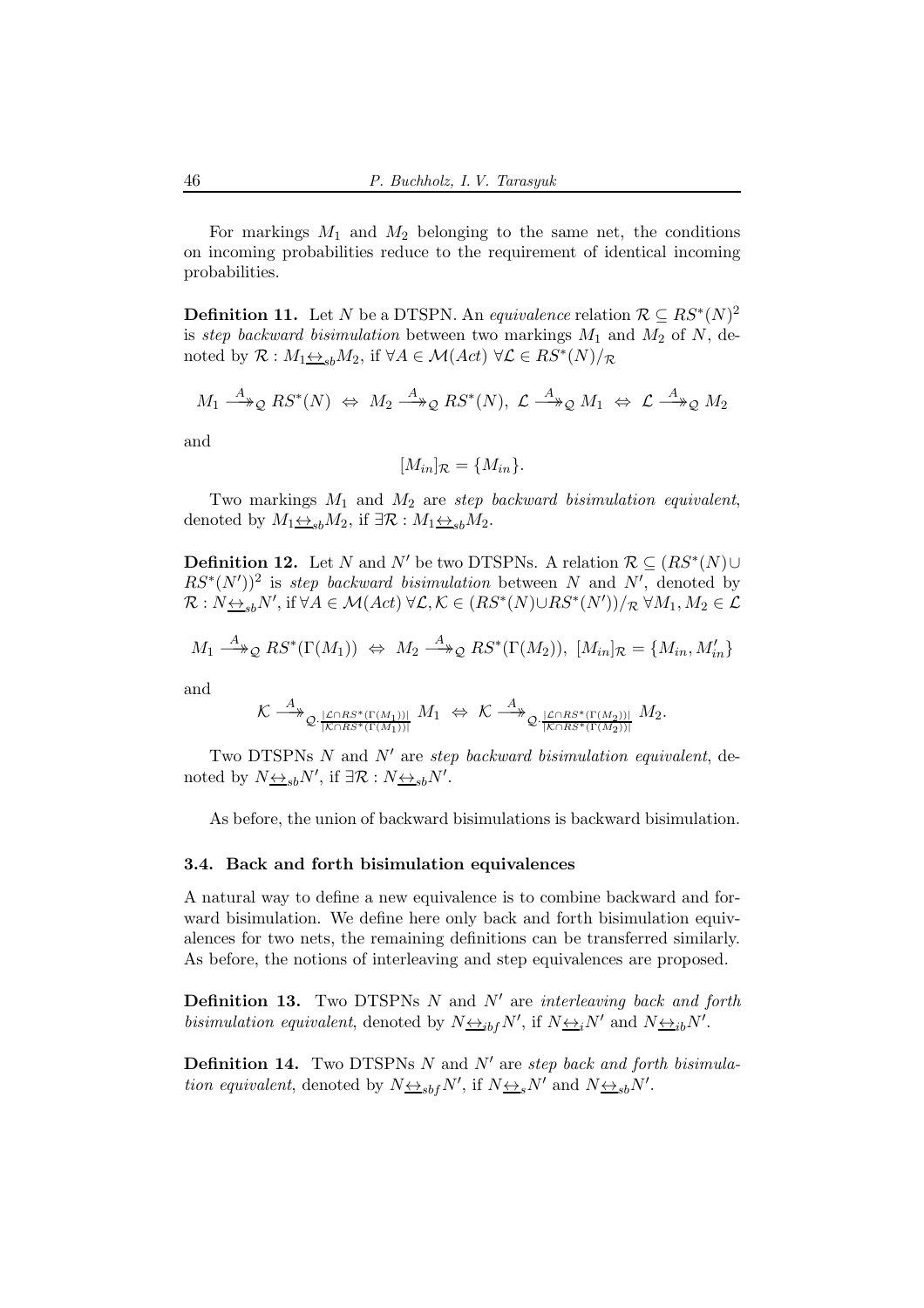For markings  $M_1$  and  $M_2$  belonging to the same net, the conditions on incoming probabilities reduce to the requirement of identical incoming probabilities.

**Definition 11.** Let N be a DTSPN. An equivalence relation  $\mathcal{R} \subseteq RS^*(N)^2$ is step backward bisimulation between two markings  $M_1$  and  $M_2$  of N, denoted by  $\mathcal{R}: M_1 \underline{\leftrightarrow}_{sb} M_2$ , if  $\forall A \in \mathcal{M}(Act) \ \forall \mathcal{L} \in RS^*(N)/_{\mathcal{R}}$ 

$$
M_1 \stackrel{A}{\longrightarrow}_\mathcal{Q} RS^*(N) \Leftrightarrow M_2 \stackrel{A}{\longrightarrow}_\mathcal{Q} RS^*(N), \mathcal{L} \stackrel{A}{\longrightarrow}_\mathcal{Q} M_1 \Leftrightarrow \mathcal{L} \stackrel{A}{\longrightarrow}_\mathcal{Q} M_2
$$

and

$$
[M_{in}]_{\mathcal{R}} = \{M_{in}\}.
$$

Two markings  $M_1$  and  $M_2$  are step backward bisimulation equivalent, denoted by  $M_1 \leftrightarrow_{sb} M_2$ , if  $\exists \mathcal{R} : M_1 \leftrightarrow_{sb} M_2$ .

**Definition 12.** Let N and N' be two DTSPNs. A relation  $\mathcal{R} \subseteq (RS^*(N) \cup$  $RS^*(N')^2$  is step backward bisimulation between N and N', denoted by  $\mathcal{R}: N_{\frac{\leftrightarrow}{\leq b}N'}$ , if  $\forall A \in \mathcal{M}(Act) \ \forall \mathcal{L}, \mathcal{K} \in (RS^*(N) \cup RS^*(N'))/R \ \forall M_1, M_2 \in \mathcal{L}$ 

$$
M_1 \stackrel{A}{\longrightarrow}_\mathcal{Q} RS^*(\Gamma(M_1)) \Leftrightarrow M_2 \stackrel{A}{\longrightarrow}_\mathcal{Q} RS^*(\Gamma(M_2)), [M_{in}]_\mathcal{R} = \{M_{in}, M'_{in}\}\
$$

and

$$
\mathcal{K} \stackrel{A}{\longrightarrow}_{\mathcal{Q} \cdot \frac{|\mathcal{L} \cap RS^*(\Gamma(M_1))|}{|\mathcal{K} \cap RS^*(\Gamma(M_1))|}} M_1 \Leftrightarrow \mathcal{K} \stackrel{A}{\longrightarrow}_{\mathcal{Q} \cdot \frac{|\mathcal{L} \cap RS^*(\Gamma(M_2))|}{|\mathcal{K} \cap RS^*(\Gamma(M_2))|}} M_2.
$$

Two DTSPNs  $N$  and  $N'$  are step backward bisimulation equivalent, denoted by  $N_{\frac{\leftrightarrow}{s}b}N'$ , if  $\exists \mathcal{R}: N_{\frac{\leftrightarrow}{s}b}N'$ .

As before, the union of backward bisimulations is backward bisimulation.

## 3.4. Back and forth bisimulation equivalences

A natural way to define a new equivalence is to combine backward and forward bisimulation. We define here only back and forth bisimulation equivalences for two nets, the remaining definitions can be transferred similarly. As before, the notions of interleaving and step equivalences are proposed.

**Definition 13.** Two DTSPNs  $N$  and  $N'$  are interleaving back and forth bisimulation equivalent, denoted by  $N_{\frac{\leftrightarrow_{ib}}{N}}N'$ , if  $N_{\frac{\leftrightarrow_{i}}{N}}N'$  and  $N_{\frac{\leftrightarrow_{ib}}{N}}N'$ .

**Definition 14.** Two DTSPNs  $N$  and  $N'$  are step back and forth bisimulation equivalent, denoted by  $N \underline{\leftrightarrow}_{sbf} N'$ , if  $N \underline{\leftrightarrow}_{s} N'$  and  $N \underline{\leftrightarrow}_{sb} N'$ .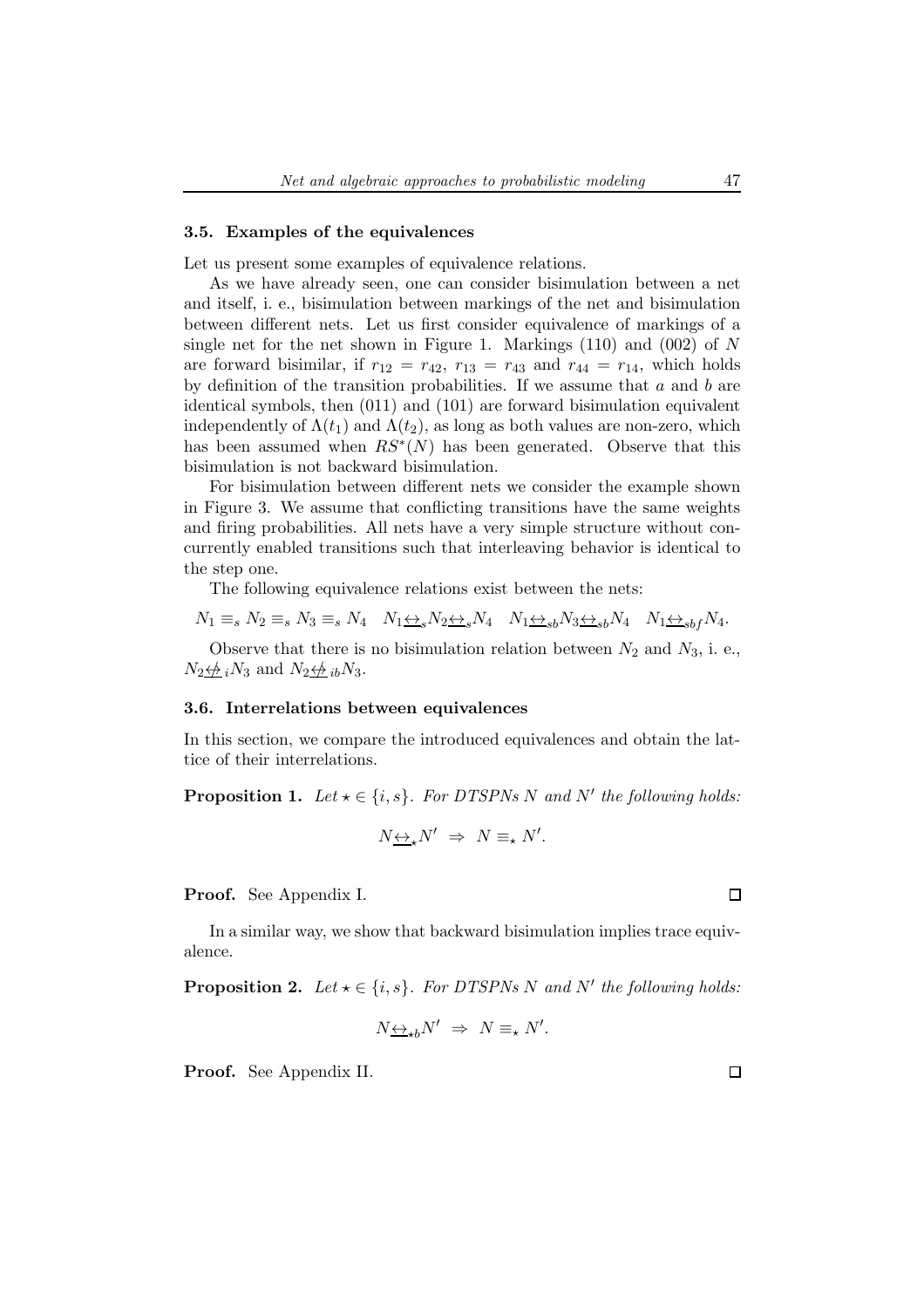## 3.5. Examples of the equivalences

Let us present some examples of equivalence relations.

As we have already seen, one can consider bisimulation between a net and itself, i. e., bisimulation between markings of the net and bisimulation between different nets. Let us first consider equivalence of markings of a single net for the net shown in Figure 1. Markings  $(110)$  and  $(002)$  of N are forward bisimilar, if  $r_{12} = r_{42}$ ,  $r_{13} = r_{43}$  and  $r_{44} = r_{14}$ , which holds by definition of the transition probabilities. If we assume that  $a$  and  $b$  are identical symbols, then (011) and (101) are forward bisimulation equivalent independently of  $\Lambda(t_1)$  and  $\Lambda(t_2)$ , as long as both values are non-zero, which has been assumed when  $RS^*(N)$  has been generated. Observe that this bisimulation is not backward bisimulation.

For bisimulation between different nets we consider the example shown in Figure 3. We assume that conflicting transitions have the same weights and firing probabilities. All nets have a very simple structure without concurrently enabled transitions such that interleaving behavior is identical to the step one.

The following equivalence relations exist between the nets:

$$
N_1 \equiv_s N_2 \equiv_s N_3 \equiv_s N_4 \quad N_1 \leftrightarrow_s N_2 \leftrightarrow_s N_4 \quad N_1 \leftrightarrow_{sb} N_3 \leftrightarrow_{sb} N_4 \quad N_1 \leftrightarrow_{sbf} N_4.
$$

Observe that there is no bisimulation relation between  $N_2$  and  $N_3$ , i. e.,  $N_2 \not\leftrightarrow_i N_3$  and  $N_2 \not\leftrightarrow_i N_3$ .

#### 3.6. Interrelations between equivalences

In this section, we compare the introduced equivalences and obtain the lattice of their interrelations.

**Proposition 1.** Let  $\star \in \{i, s\}$ . For DTSPNs N and N' the following holds:

$$
N_{\frac{\leftrightarrow}{\longrightarrow}}N' \Rightarrow N \equiv_{\star} N'.
$$

Proof. See Appendix I.

In a similar way, we show that backward bisimulation implies trace equivalence.

**Proposition 2.** Let  $\star \in \{i, s\}$ . For DTSPNs N and N' the following holds:

$$
N\underline{\leftrightarrow}_{\star b}N'\ \Rightarrow\ N\equiv_{\star}N'.
$$

Proof. See Appendix II.

 $\Box$ 

 $\Box$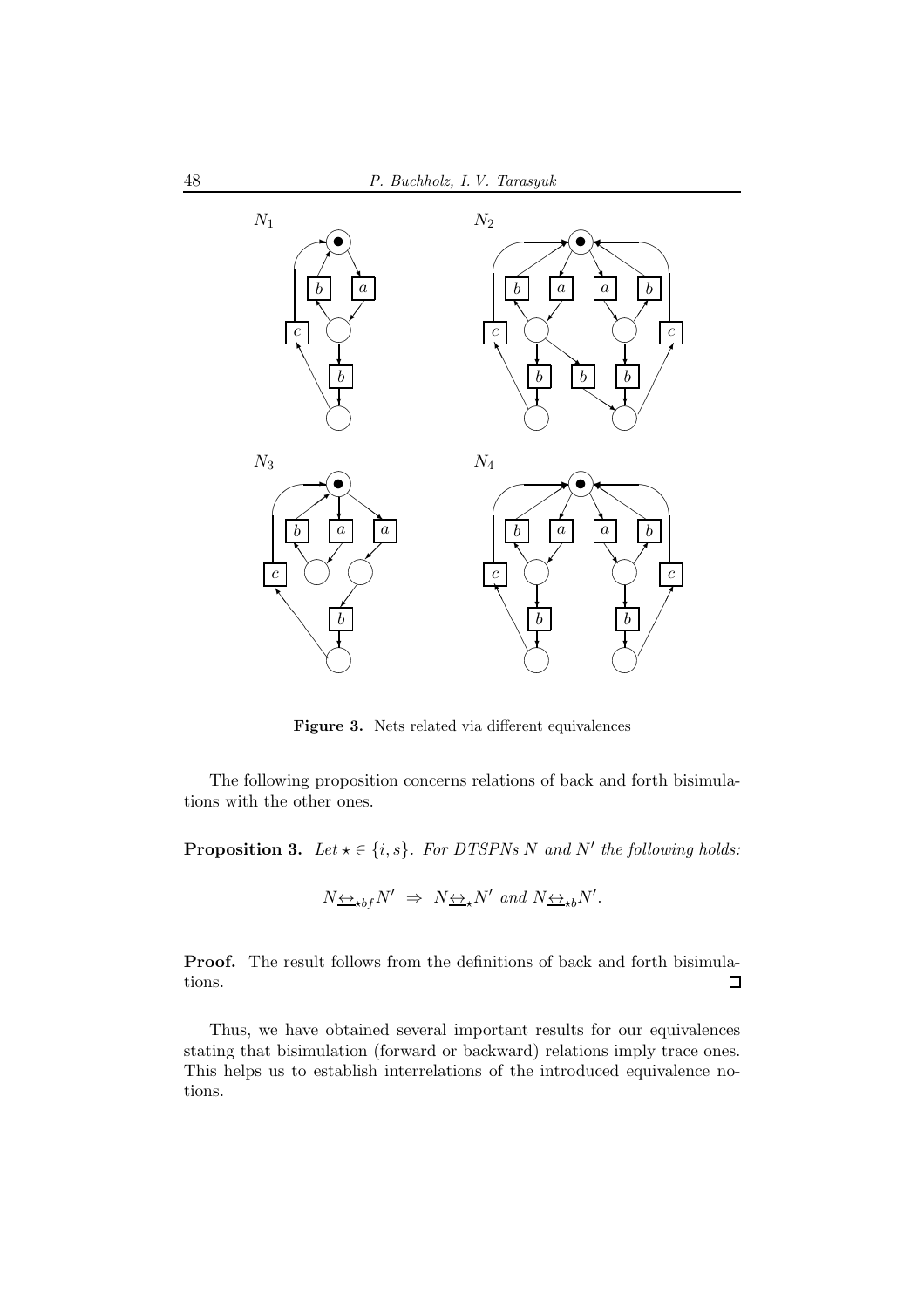

Figure 3. Nets related via different equivalences

The following proposition concerns relations of back and forth bisimulations with the other ones.

**Proposition 3.** Let  $\star \in \{i, s\}$ . For DTSPNs N and N' the following holds:

$$
N\underline{\leftrightarrow}_{\star bf}N'\ \Rightarrow\ N\underline{\leftrightarrow}_{\star}N' \ and \ N\underline{\leftrightarrow}_{\star b}N'.
$$

Proof. The result follows from the definitions of back and forth bisimulations.  $\Box$ 

Thus, we have obtained several important results for our equivalences stating that bisimulation (forward or backward) relations imply trace ones. This helps us to establish interrelations of the introduced equivalence notions.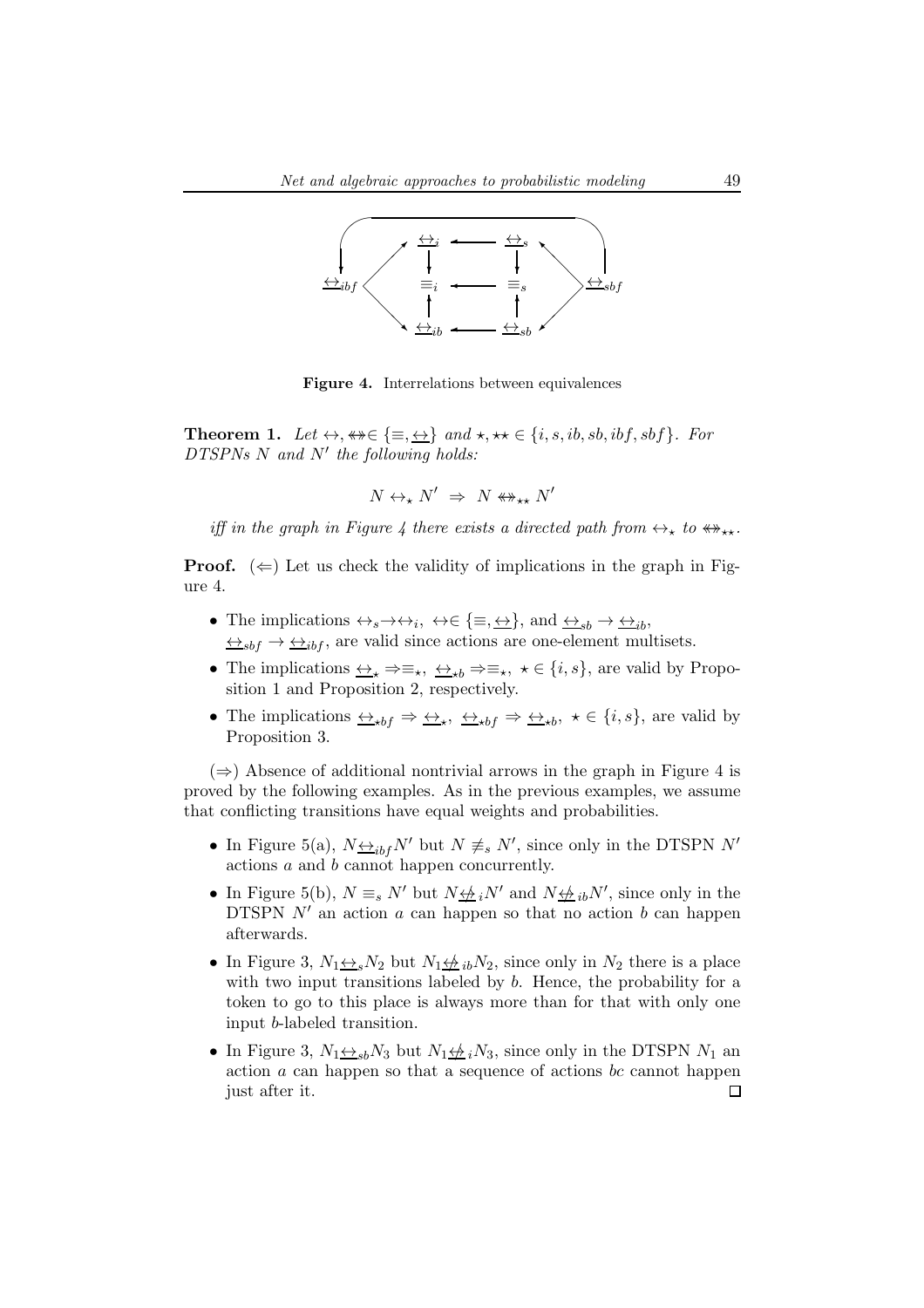

Figure 4. Interrelations between equivalences

**Theorem 1.** Let  $\leftrightarrow$ ,  $\leftrightarrow \in \{\equiv, \leftrightarrow\}$  and  $\star$ ,  $\star \star \in \{i, s, ib, sb, ibf, sbf\}$ . For DTSPNs N and N' the following holds:

 $N \leftrightarrow_{\star} N' \Rightarrow N \leftrightarrow_{\star\star} N'$ 

iff in the graph in Figure 4 there exists a directed path from  $\leftrightarrow_{\star}$  to  $\leftrightarrow_{\star\star}$ .

**Proof.** ( $\Leftarrow$ ) Let us check the validity of implications in the graph in Figure 4.

- The implications  $\leftrightarrow_s \rightarrow \leftrightarrow_i$ ,  $\leftrightarrow \in \{\equiv, \leftrightarrow\}$ , and  $\leftrightarrow_{sb} \rightarrow \leftrightarrow_{ib}$ ,  $\leftrightarrow_{sbf} \rightarrow \leftrightarrow_{ibf}$ , are valid since actions are one-element multisets.
- The implications  $\leftrightarrow_{\star} \Rightarrow \equiv_{\star}, \leftrightarrow_{\star b} \Rightarrow \equiv_{\star}, \star \in \{i, s\}$ , are valid by Proposition 1 and Proposition 2, respectively.
- The implications  $\xrightarrow{\leftrightarrow}_{*bf} \Rightarrow \underline{\leftrightarrow}_{*bf} \Rightarrow \underline{\leftrightarrow}_{*bf} \star \in \{i, s\}$ , are valid by Proposition 3.

 $(\Rightarrow)$  Absence of additional nontrivial arrows in the graph in Figure 4 is proved by the following examples. As in the previous examples, we assume that conflicting transitions have equal weights and probabilities.

- In Figure 5(a),  $N_{\frac{\leftrightarrow}{\pm}if}N'$  but  $N \neq s N'$ , since only in the DTSPN  $N'$ actions  $\boldsymbol{a}$  and  $\boldsymbol{b}$  cannot happen concurrently.
- In Figure 5(b),  $N \equiv_s N'$  but  $N \not\leftrightarrow_i N'$  and  $N \not\leftrightarrow_i N'$ , since only in the DTSPN  $N'$  an action a can happen so that no action b can happen afterwards.
- In Figure 3,  $N_1 \leftrightarrow N_2$  but  $N_1 \leftrightarrow N_2$ , since only in  $N_2$  there is a place with two input transitions labeled by  $b$ . Hence, the probability for a token to go to this place is always more than for that with only one input b-labeled transition.
- In Figure 3,  $N_1 \leftrightarrow_{sb} N_3$  but  $N_1 \not\leftrightarrow_{s} N_3$ , since only in the DTSPN  $N_1$  and action a can happen so that a sequence of actions bc cannot happen just after it.П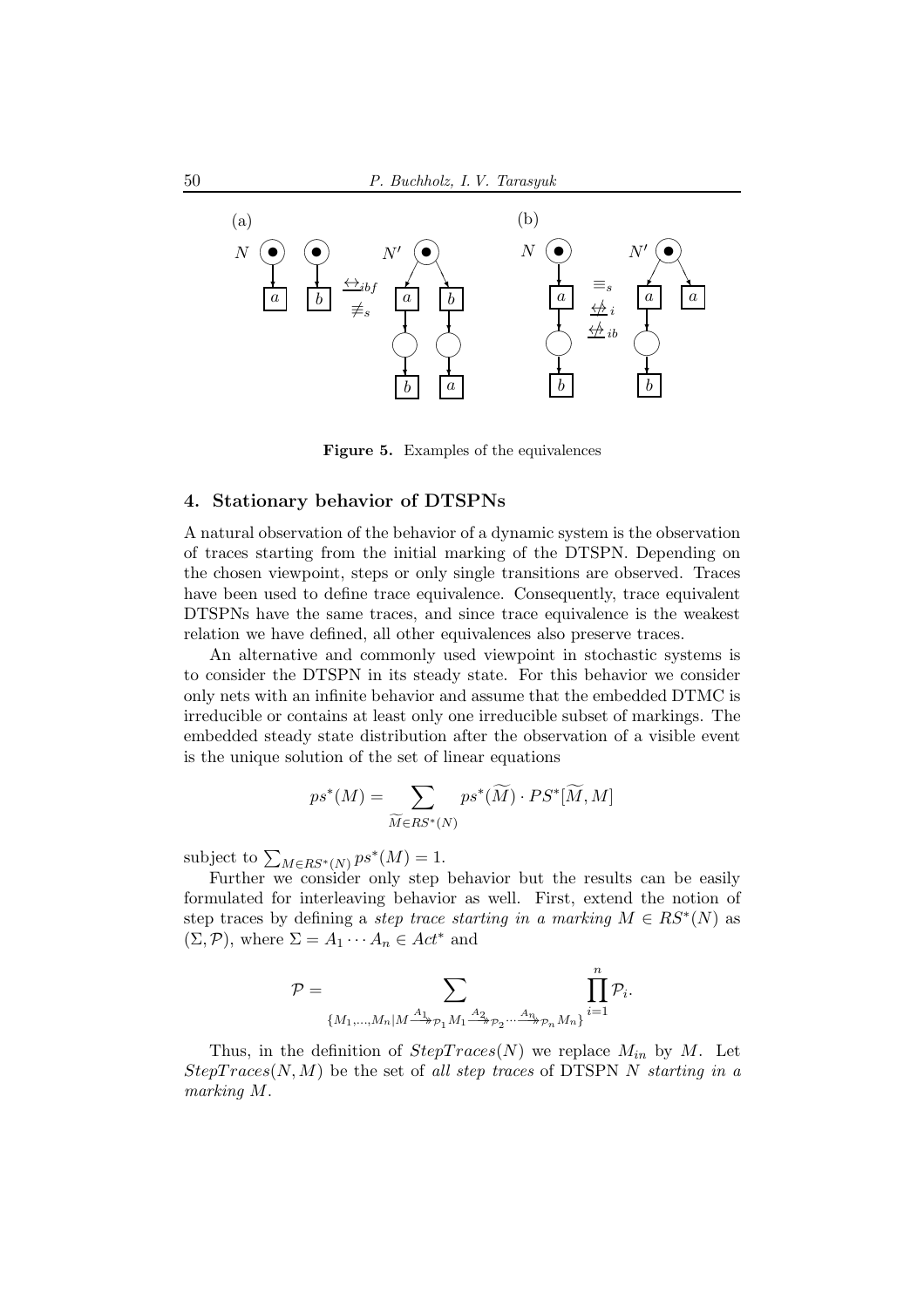

Figure 5. Examples of the equivalences

## 4. Stationary behavior of DTSPNs

A natural observation of the behavior of a dynamic system is the observation of traces starting from the initial marking of the DTSPN. Depending on the chosen viewpoint, steps or only single transitions are observed. Traces have been used to define trace equivalence. Consequently, trace equivalent DTSPNs have the same traces, and since trace equivalence is the weakest relation we have defined, all other equivalences also preserve traces.

An alternative and commonly used viewpoint in stochastic systems is to consider the DTSPN in its steady state. For this behavior we consider only nets with an infinite behavior and assume that the embedded DTMC is irreducible or contains at least only one irreducible subset of markings. The embedded steady state distribution after the observation of a visible event is the unique solution of the set of linear equations

$$
ps^*(M) = \sum_{\widetilde{M} \in RS^*(N)} ps^*(\widetilde{M}) \cdot PS^*[\widetilde{M}, M]
$$

subject to  $\sum_{M \in RS^*(N)} ps^*(M) = 1$ .

Further we consider only step behavior but the results can be easily formulated for interleaving behavior as well. First, extend the notion of step traces by defining a *step trace starting in a marking*  $M \in RS^*(N)$  as  $(\Sigma, \mathcal{P})$ , where  $\Sigma = A_1 \cdots A_n \in Act^*$  and

$$
P = \sum_{\{M_1, ..., M_n | M \stackrel{A_1}{\longrightarrow}_{\mathcal{P}_1} M_1 \stackrel{A_2}{\longrightarrow}_{\mathcal{P}_2} ... \stackrel{A_n}{\longrightarrow}_{\mathcal{P}_n} M_n\}} \prod_{i=1}^n \mathcal{P}_i
$$

.

Thus, in the definition of  $StepTrace(N)$  we replace  $M_{in}$  by M. Let  $StepTrace(N, M)$  be the set of all step traces of DTSPN N starting in a marking M.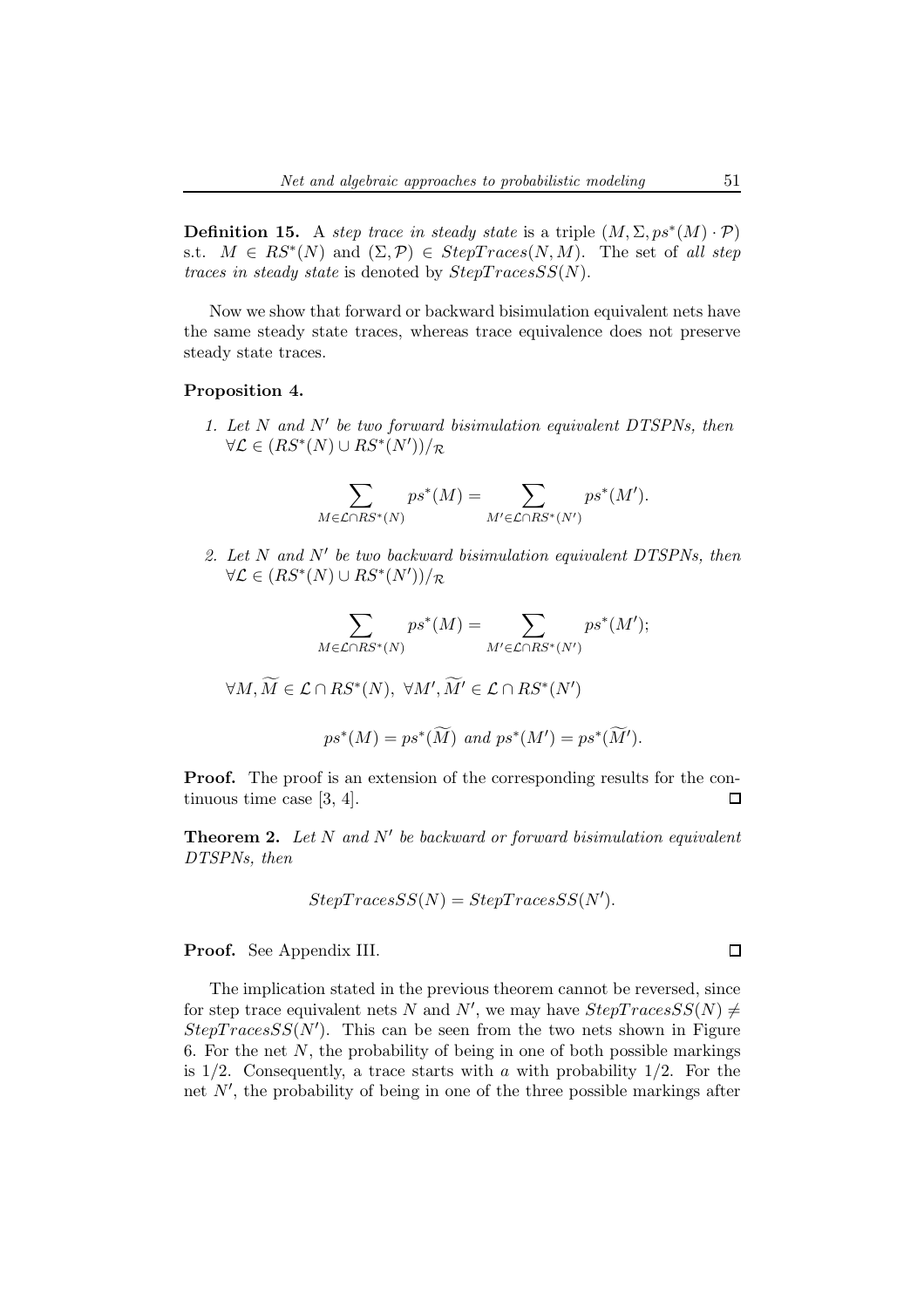**Definition 15.** A step trace in steady state is a triple  $(M, \Sigma, ps^*(M) \cdot \mathcal{P})$ s.t.  $M \in RS^*(N)$  and  $(\Sigma, \mathcal{P}) \in StepTrace(N, M)$ . The set of all step traces in steady state is denoted by  $StepTracesSS(N)$ .

Now we show that forward or backward bisimulation equivalent nets have the same steady state traces, whereas trace equivalence does not preserve steady state traces.

#### Proposition 4.

1. Let N and N′ be two forward bisimulation equivalent DTSPNs, then  $\forall \mathcal{L} \in (RS^*(N) \cup RS^*(N'))/\mathcal{R}$ 

$$
\sum_{M \in \mathcal{L} \cap RS^*(N)} ps^*(M) = \sum_{M' \in \mathcal{L} \cap RS^*(N')} ps^*(M').
$$

2. Let N and N′ be two backward bisimulation equivalent DTSPNs, then  $\forall \mathcal{L} \in (RS^*(N) \cup RS^*(N'))/\mathcal{R}$ 

$$
\sum_{M\in\mathcal{L}\cap RS^*(N)}ps^*(M)=\sum_{M'\in\mathcal{L}\cap RS^*(N')}ps^*(M');
$$

 $\forall M, \overline{M} \in \mathcal{L} \cap RS^*(N), \ \forall M', \overline{M'} \in \mathcal{L} \cap RS^*(N')$ 

$$
ps^*(M) = ps^*(\widetilde{M})
$$
 and  $ps^*(M') = ps^*(\widetilde{M}')$ .

**Proof.** The proof is an extension of the corresponding results for the continuous time case [3, 4].  $\Box$ 

**Theorem 2.** Let  $N$  and  $N'$  be backward or forward bisimulation equivalent DTSPNs, then

$$
StepTracesSS(N) = StepTracesSS(N').
$$

Proof. See Appendix III.

The implication stated in the previous theorem cannot be reversed, since for step trace equivalent nets N and N', we may have  $StepTracesSS(N) \neq$  $Step TracesSS(N')$ . This can be seen from the two nets shown in Figure 6. For the net  $N$ , the probability of being in one of both possible markings is  $1/2$ . Consequently, a trace starts with a with probability  $1/2$ . For the net N′ , the probability of being in one of the three possible markings after

 $\Box$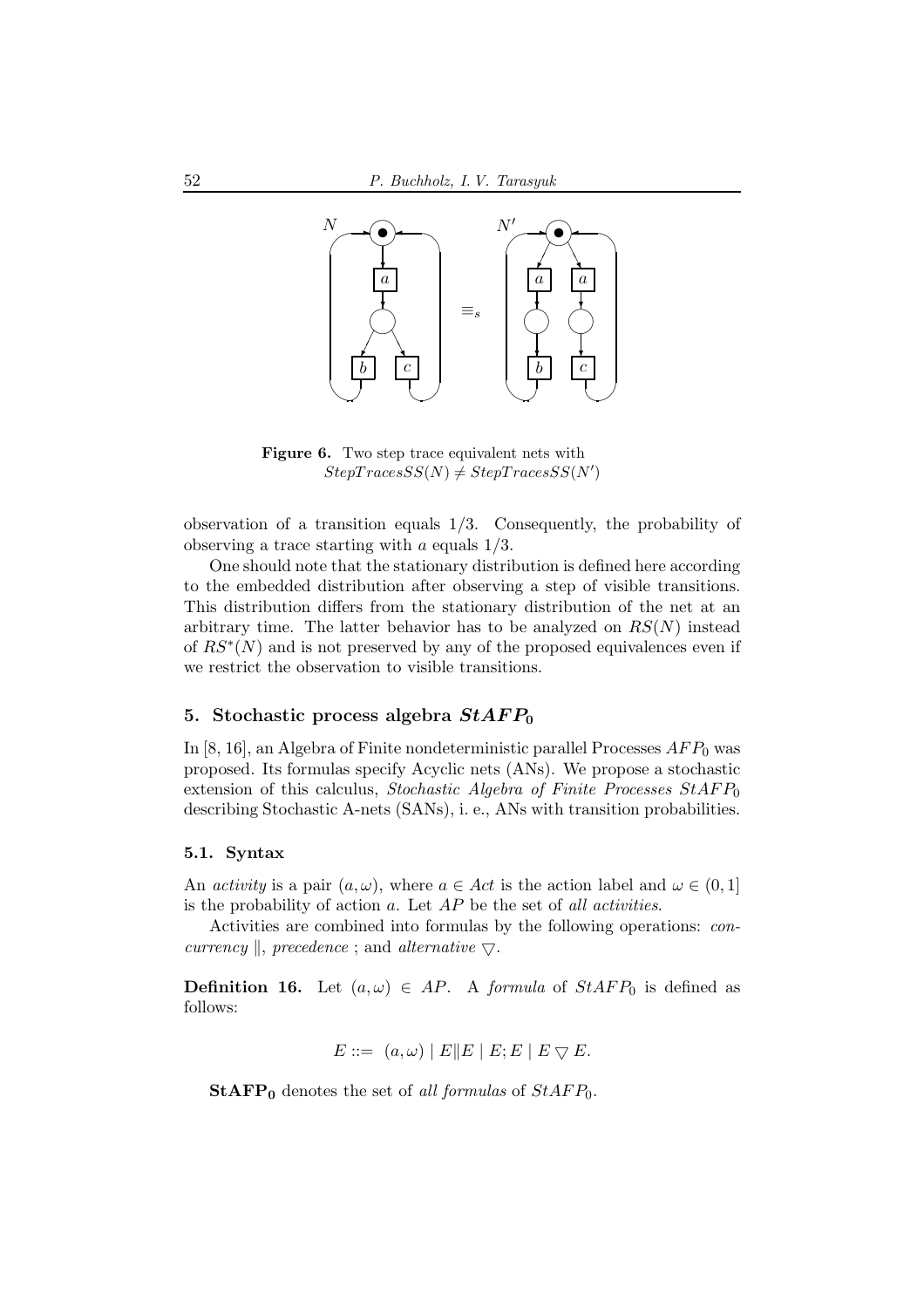

Figure 6. Two step trace equivalent nets with  $StepTraceSS(N) \neq StepTraceSS(N')$ 

observation of a transition equals 1/3. Consequently, the probability of observing a trace starting with a equals 1/3.

One should note that the stationary distribution is defined here according to the embedded distribution after observing a step of visible transitions. This distribution differs from the stationary distribution of the net at an arbitrary time. The latter behavior has to be analyzed on  $RS(N)$  instead of  $RS^*(N)$  and is not preserved by any of the proposed equivalences even if we restrict the observation to visible transitions.

## 5. Stochastic process algebra  $StAFP_0$

In  $[8, 16]$ , an Algebra of Finite nondeterministic parallel Processes  $AFP_0$  was proposed. Its formulas specify Acyclic nets (ANs). We propose a stochastic extension of this calculus, Stochastic Algebra of Finite Processes  $StAFP_0$ describing Stochastic A-nets (SANs), i. e., ANs with transition probabilities.

### 5.1. Syntax

An *activity* is a pair  $(a, \omega)$ , where  $a \in Act$  is the action label and  $\omega \in (0, 1]$ is the probability of action  $a$ . Let  $AP$  be the set of all activities.

Activities are combined into formulas by the following operations: concurrency  $\parallel$ , precedence ; and alternative  $\bigtriangledown$ .

**Definition 16.** Let  $(a, \omega) \in AP$ . A formula of  $StAFP_0$  is defined as follows:

$$
E ::= (a, \omega) | E || E | E; E | E \nabla E.
$$

**StAFP**<sup>0</sup> denotes the set of all formulas of  $StAFP_0$ .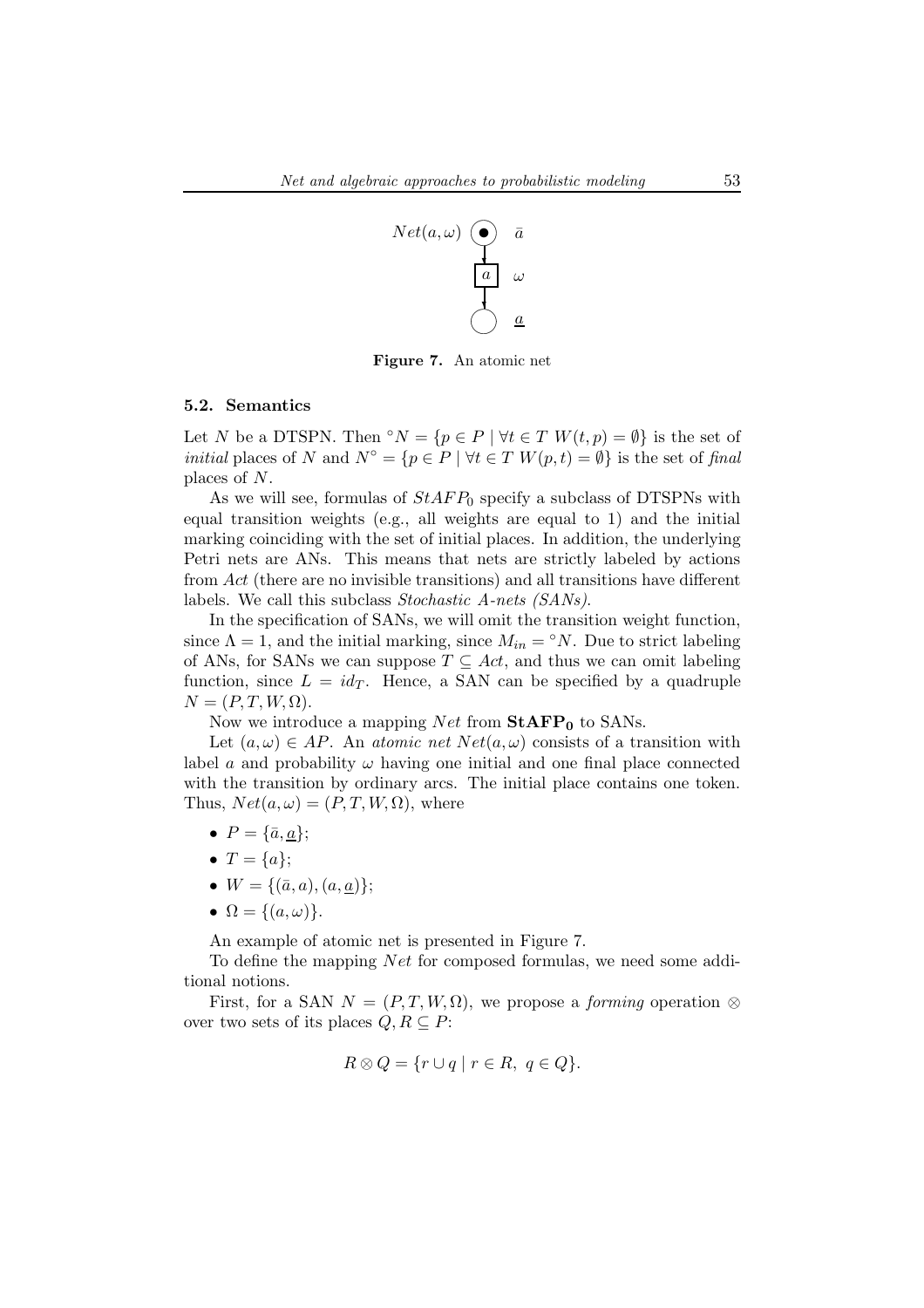

Figure 7. An atomic net

## 5.2. Semantics

Let N be a DTSPN. Then °N = { $p \in P \mid \forall t \in T$  W $(t, p) = \emptyset$ } is the set of *initial* places of N and  $N^{\circ} = \{p \in P \mid \forall t \in T \ W(p, t) = \emptyset\}$  is the set of final places of N.

As we will see, formulas of  $StAFP_0$  specify a subclass of DTSPNs with equal transition weights (e.g., all weights are equal to 1) and the initial marking coinciding with the set of initial places. In addition, the underlying Petri nets are ANs. This means that nets are strictly labeled by actions from Act (there are no invisible transitions) and all transitions have different labels. We call this subclass Stochastic A-nets (SANs).

In the specification of SANs, we will omit the transition weight function, since  $\Lambda = 1$ , and the initial marking, since  $M_{in} = \gamma N$ . Due to strict labeling of ANs, for SANs we can suppose  $T \subseteq Act$ , and thus we can omit labeling function, since  $L = id_T$ . Hence, a SAN can be specified by a quadruple  $N = (P, T, W, \Omega).$ 

Now we introduce a mapping  $Net$  from  $StAFP<sub>0</sub>$  to SANs.

Let  $(a, \omega) \in AP$ . An atomic net  $Net(a, \omega)$  consists of a transition with label a and probability  $\omega$  having one initial and one final place connected with the transition by ordinary arcs. The initial place contains one token. Thus,  $Net(a, \omega) = (P, T, W, \Omega)$ , where

- $P = {\overline{a}, \underline{a}};$
- $T = \{a\}$ ;
- $W = \{(\bar{a}, a), (a, \underline{a})\};$
- $\Omega = \{(a, \omega)\}.$

An example of atomic net is presented in Figure 7.

To define the mapping Net for composed formulas, we need some additional notions.

First, for a SAN  $N = (P, T, W, \Omega)$ , we propose a *forming* operation ⊗ over two sets of its places  $Q, R \subseteq P$ :

$$
R \otimes Q = \{ r \cup q \mid r \in R, q \in Q \}.
$$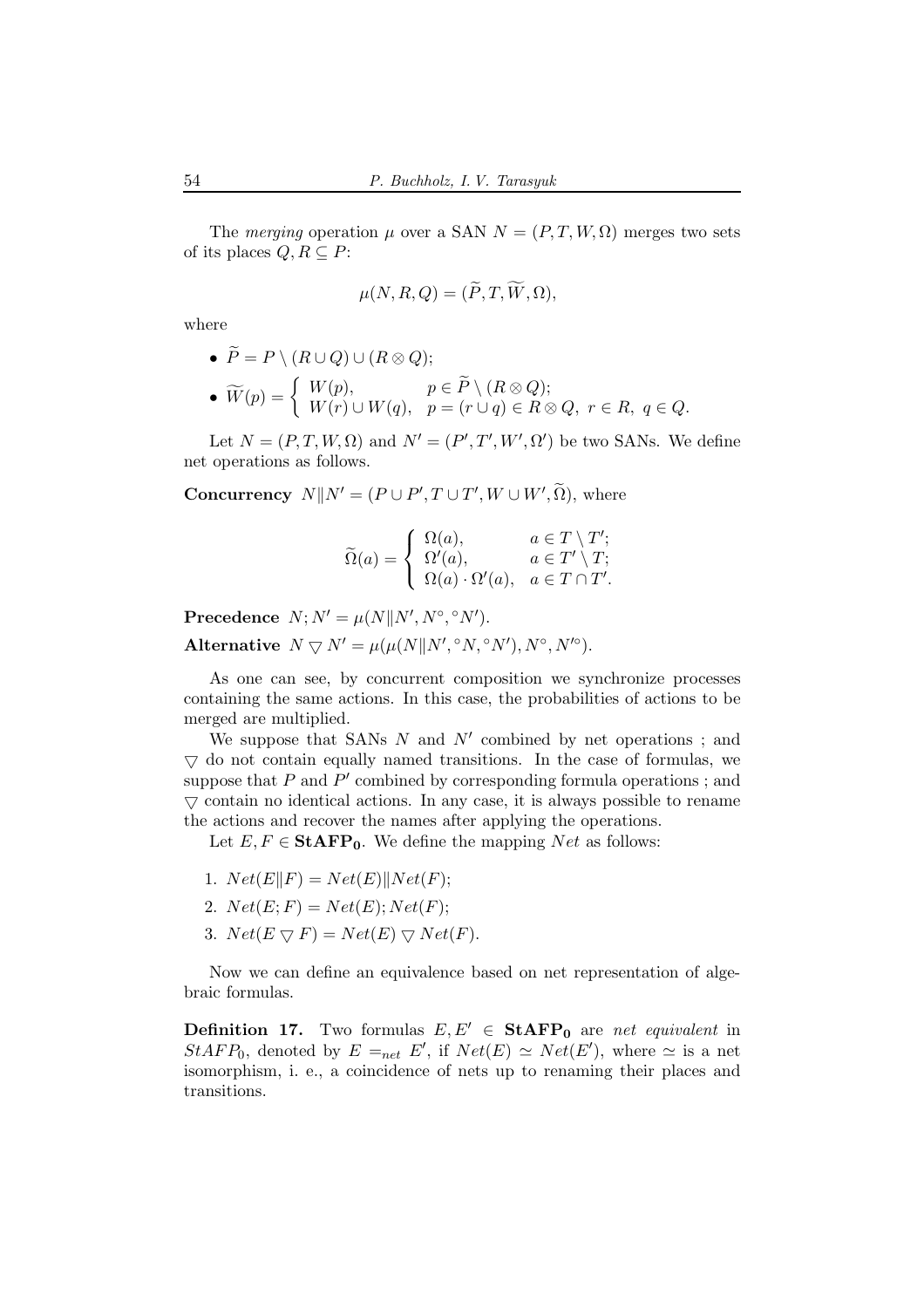The merging operation  $\mu$  over a SAN  $N = (P, T, W, \Omega)$  merges two sets of its places  $Q, R \subseteq P$ :

$$
\mu(N, R, Q) = (\widetilde{P}, T, \widetilde{W}, \Omega),
$$

where

\n- \n
$$
\widetilde{P} = P \setminus (R \cup Q) \cup (R \otimes Q);
$$
\n
\n- \n
$$
\widetilde{W}(p) = \begin{cases} W(p), & p \in \widetilde{P} \setminus (R \otimes Q); \\ W(r) \cup W(q), & p = (r \cup q) \in R \otimes Q, \ r \in R, \ q \in Q. \end{cases}
$$
\n
\n

Let  $N = (P, T, W, \Omega)$  and  $N' = (P', T', W', \Omega')$  be two SANs. We define net operations as follows.

**Concurrency**  $N||N' = (P \cup P', T \cup T', W \cup W', \Omega)$ , where

$$
\widetilde{\Omega}(a) = \begin{cases} \Omega(a), & a \in T \setminus T'; \\ \Omega'(a), & a \in T' \setminus T; \\ \Omega(a) \cdot \Omega'(a), & a \in T \cap T'. \end{cases}
$$

Precedence  $N; N' = \mu(N||N', N^{\circ}, \degree N').$ Alternative  $N \nabla N' = \mu(\mu(N|| N', \degree N, \degree N'), N^\circ, N'^\circ).$ 

As one can see, by concurrent composition we synchronize processes containing the same actions. In this case, the probabilities of actions to be merged are multiplied.

We suppose that SANs  $N$  and  $N'$  combined by net operations; and  $\nabla$  do not contain equally named transitions. In the case of formulas, we suppose that  $P$  and  $P'$  combined by corresponding formula operations; and  $\triangledown$  contain no identical actions. In any case, it is always possible to rename the actions and recover the names after applying the operations.

Let  $E, F \in \text{StAFP}_0$ . We define the mapping Net as follows:

- 1.  $Net(E||F) = Net(E)||Net(F);$
- 2.  $Net(E; F) = Net(E); Net(F);$
- 3.  $Net(E \bigtriangledown F) = Net(E) \bigtriangledown Net(F).$

Now we can define an equivalence based on net representation of algebraic formulas.

**Definition 17.** Two formulas  $E, E' \in \text{StAFP}_0$  are net equivalent in  $StAFP_0$ , denoted by  $E =_{net} E'$ , if  $Net(E) \simeq Net(E')$ , where  $\simeq$  is a net isomorphism, i. e., a coincidence of nets up to renaming their places and transitions.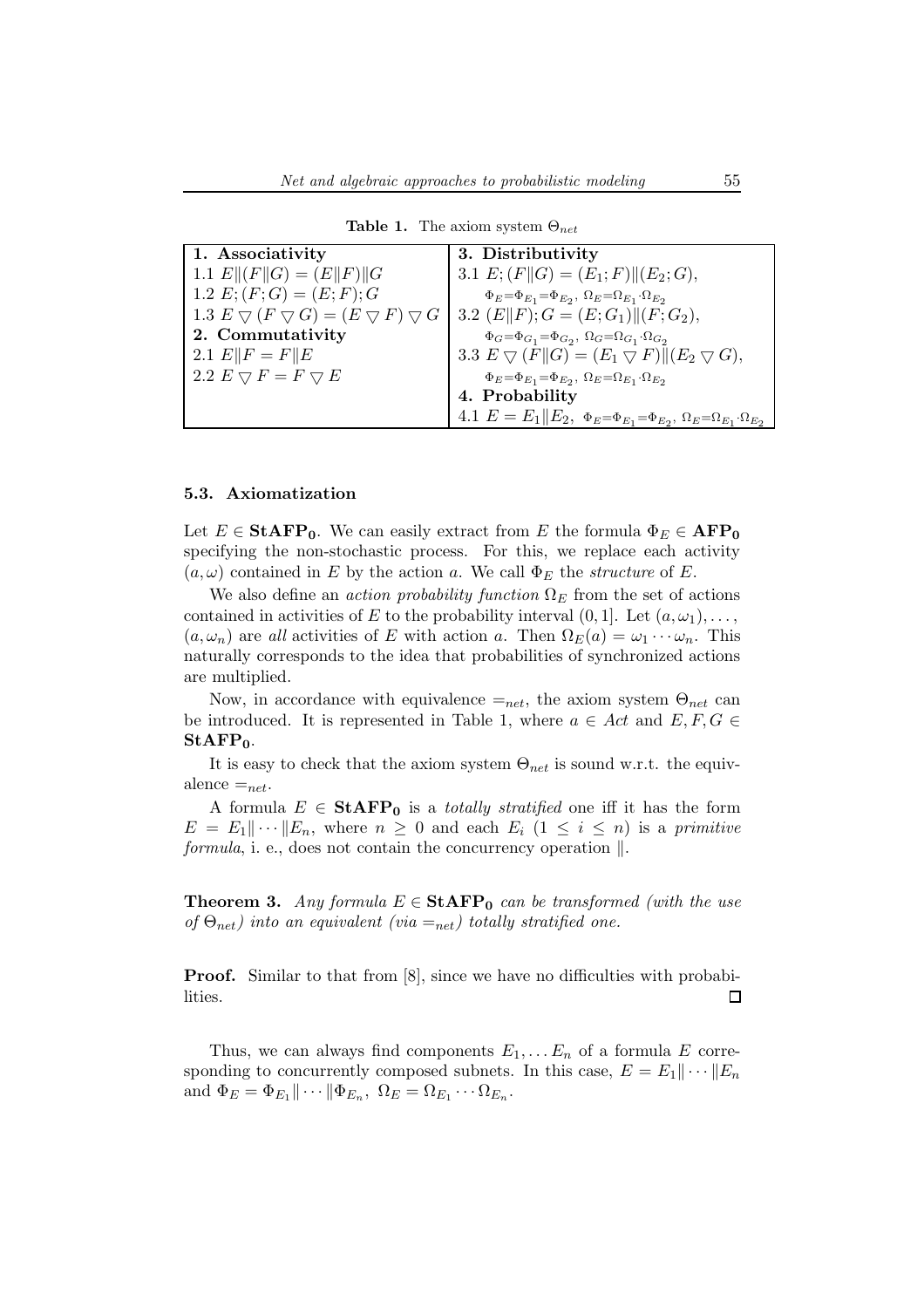| 1. Associativity                                                                            | 3. Distributivity                                                                                      |
|---------------------------------------------------------------------------------------------|--------------------------------------------------------------------------------------------------------|
| 1.1 $E  (F  G) = (E  F)  G$                                                                 | 3.1 $E: (F  G) = (E_1; F)  (E_2; G),$                                                                  |
| 1.2 $E$ ; $(F; G) = (E; F); G$                                                              | $\Phi_E{=}\Phi_{E_1}{=}\Phi_{E_2},\ \Omega_E{=}\Omega_{E_1}{\cdot}\Omega_{E_2}$                        |
| 1.3 $E \bigtriangledown (F \bigtriangledown G) = (E \bigtriangledown F) \bigtriangledown G$ | 3.2 $(E  F); G = (E; G_1)  (F; G_2),$                                                                  |
| 2. Commutativity                                                                            | $\Phi_G{=}\Phi_{G_1}{=}\Phi_{G_2},\ \Omega_G{=}\Omega_{G_1}{\cdot}\Omega_{G_2}$                        |
| 2.1 $E  F = F  E$                                                                           | 3.3 $E \bigtriangledown (F  G) = (E_1 \bigtriangledown F)  (E_2 \bigtriangledown G),$                  |
| 2.2 $E \bigtriangledown F = F \bigtriangledown E$                                           | $\Phi_E{=}\Phi_{E_1}{=}\Phi_{E_2},\ \Omega_E{=}\Omega_{E_1}{\cdot}\Omega_{E_2}$                        |
|                                                                                             | 4. Probability                                                                                         |
|                                                                                             | 4.1 $E = E_1    E_2, \ \Phi_E = \Phi_{E_1} = \Phi_{E_2}, \ \Omega_E = \Omega_{E_1} \cdot \Omega_{E_2}$ |

**Table 1.** The axiom system  $\Theta_{net}$ 

## 5.3. Axiomatization

Let  $E \in \text{StAFP}_0$ . We can easily extract from E the formula  $\Phi_E \in \text{AFP}_0$ specifying the non-stochastic process. For this, we replace each activity  $(a, \omega)$  contained in E by the action a. We call  $\Phi_E$  the *structure* of E.

We also define an *action probability function*  $\Omega_E$  from the set of actions contained in activities of E to the probability interval  $(0, 1]$ . Let  $(a, \omega_1), \ldots$ ,  $(a, \omega_n)$  are all activities of E with action a. Then  $\Omega_E(a) = \omega_1 \cdots \omega_n$ . This naturally corresponds to the idea that probabilities of synchronized actions are multiplied.

Now, in accordance with equivalence  $=_{net}$ , the axiom system  $\Theta_{net}$  can be introduced. It is represented in Table 1, where  $a \in Act$  and  $E, F, G \in$  $StAFP<sub>0</sub>$ .

It is easy to check that the axiom system  $\Theta_{net}$  is sound w.r.t. the equivalence  $=_{net}$ .

A formula  $E \in \text{StAFP}_0$  is a *totally stratified* one iff it has the form  $E = E_1 || \cdots || E_n$ , where  $n \geq 0$  and each  $E_i$   $(1 \leq i \leq n)$  is a primitive formula, i. e., does not contain the concurrency operation  $\|$ .

**Theorem 3.** Any formula  $E \in \text{StAFP}_0$  can be transformed (with the use of  $\Theta_{net}$ ) into an equivalent (via  $=_{net}$ ) totally stratified one.

**Proof.** Similar to that from [8], since we have no difficulties with probabilities.  $\Box$ 

Thus, we can always find components  $E_1, \ldots E_n$  of a formula E corresponding to concurrently composed subnets. In this case,  $E = E_1 || \cdots || E_n$ and  $\Phi_E = \Phi_{E_1} || \cdots || \Phi_{E_n}, \ \Omega_E = \Omega_{E_1} \cdots \Omega_{E_n}.$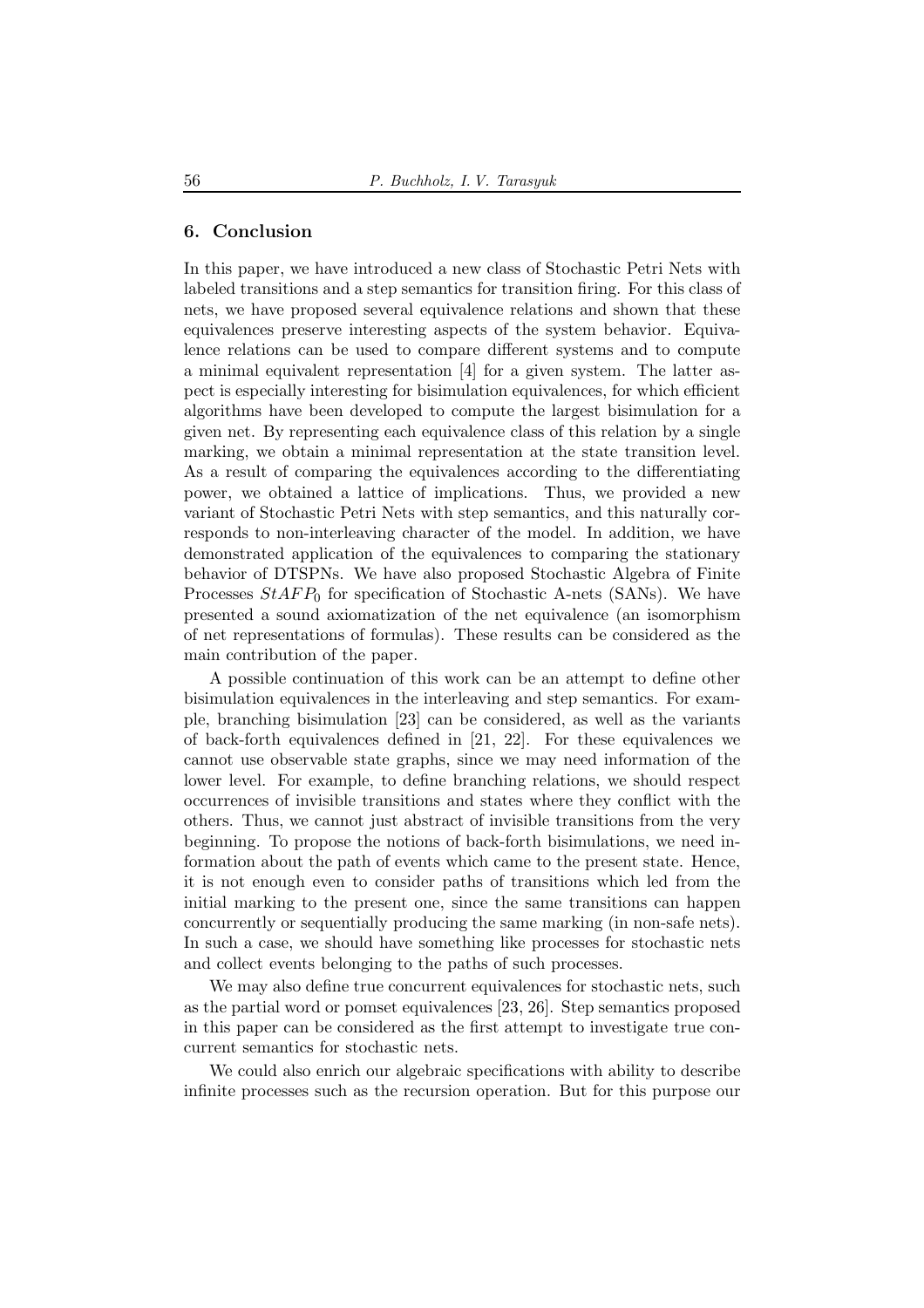## 6. Conclusion

In this paper, we have introduced a new class of Stochastic Petri Nets with labeled transitions and a step semantics for transition firing. For this class of nets, we have proposed several equivalence relations and shown that these equivalences preserve interesting aspects of the system behavior. Equivalence relations can be used to compare different systems and to compute a minimal equivalent representation [4] for a given system. The latter aspect is especially interesting for bisimulation equivalences, for which efficient algorithms have been developed to compute the largest bisimulation for a given net. By representing each equivalence class of this relation by a single marking, we obtain a minimal representation at the state transition level. As a result of comparing the equivalences according to the differentiating power, we obtained a lattice of implications. Thus, we provided a new variant of Stochastic Petri Nets with step semantics, and this naturally corresponds to non-interleaving character of the model. In addition, we have demonstrated application of the equivalences to comparing the stationary behavior of DTSPNs. We have also proposed Stochastic Algebra of Finite Processes  $StAFP_0$  for specification of Stochastic A-nets (SANs). We have presented a sound axiomatization of the net equivalence (an isomorphism of net representations of formulas). These results can be considered as the main contribution of the paper.

A possible continuation of this work can be an attempt to define other bisimulation equivalences in the interleaving and step semantics. For example, branching bisimulation [23] can be considered, as well as the variants of back-forth equivalences defined in [21, 22]. For these equivalences we cannot use observable state graphs, since we may need information of the lower level. For example, to define branching relations, we should respect occurrences of invisible transitions and states where they conflict with the others. Thus, we cannot just abstract of invisible transitions from the very beginning. To propose the notions of back-forth bisimulations, we need information about the path of events which came to the present state. Hence, it is not enough even to consider paths of transitions which led from the initial marking to the present one, since the same transitions can happen concurrently or sequentially producing the same marking (in non-safe nets). In such a case, we should have something like processes for stochastic nets and collect events belonging to the paths of such processes.

We may also define true concurrent equivalences for stochastic nets, such as the partial word or pomset equivalences [23, 26]. Step semantics proposed in this paper can be considered as the first attempt to investigate true concurrent semantics for stochastic nets.

We could also enrich our algebraic specifications with ability to describe infinite processes such as the recursion operation. But for this purpose our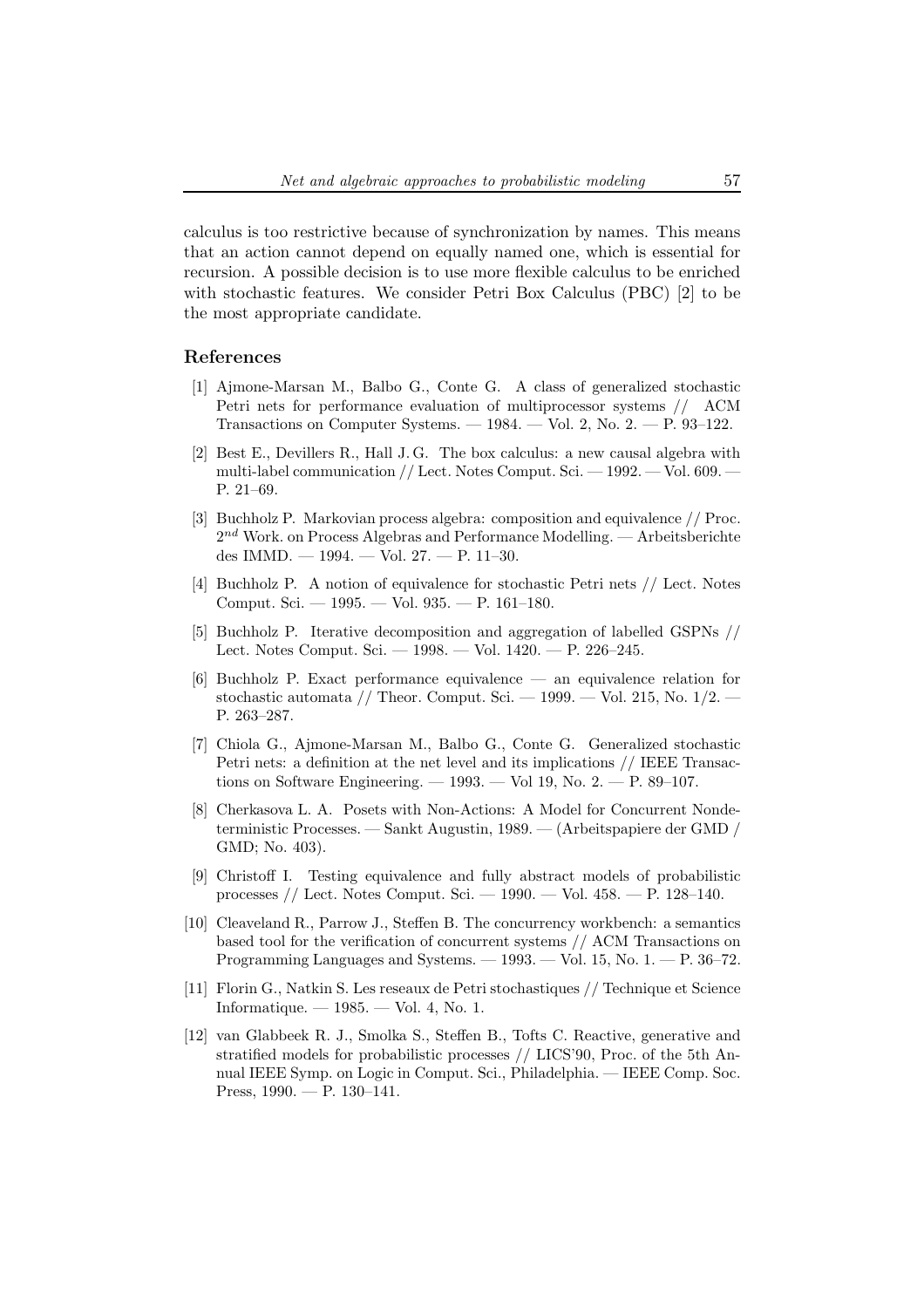calculus is too restrictive because of synchronization by names. This means that an action cannot depend on equally named one, which is essential for recursion. A possible decision is to use more flexible calculus to be enriched with stochastic features. We consider Petri Box Calculus (PBC) [2] to be the most appropriate candidate.

## References

- [1] Ajmone-Marsan M., Balbo G., Conte G. A class of generalized stochastic Petri nets for performance evaluation of multiprocessor systems // ACM Transactions on Computer Systems. — 1984. — Vol. 2, No. 2. — P. 93–122.
- [2] Best E., Devillers R., Hall J. G. The box calculus: a new causal algebra with multi-label communication // Lect. Notes Comput. Sci. — 1992. — Vol. 609. — P. 21–69.
- [3] Buchholz P. Markovian process algebra: composition and equivalence // Proc.  $2^{nd}$  Work. on Process Algebras and Performance Modelling.  $-$  Arbeitsberichte des IMMD. — 1994. — Vol. 27. — P. 11–30.
- [4] Buchholz P. A notion of equivalence for stochastic Petri nets // Lect. Notes Comput. Sci. — 1995. — Vol. 935. — P. 161–180.
- [5] Buchholz P. Iterative decomposition and aggregation of labelled GSPNs // Lect. Notes Comput. Sci. — 1998. — Vol. 1420. — P. 226–245.
- [6] Buchholz P. Exact performance equivalence an equivalence relation for stochastic automata // Theor. Comput. Sci.  $-$  1999.  $-$  Vol. 215, No. 1/2.  $-$ P. 263–287.
- [7] Chiola G., Ajmone-Marsan M., Balbo G., Conte G. Generalized stochastic Petri nets: a definition at the net level and its implications // IEEE Transactions on Software Engineering.  $-1993.$   $-$  Vol 19, No. 2.  $-$  P. 89–107.
- [8] Cherkasova L. A. Posets with Non-Actions: A Model for Concurrent Nondeterministic Processes. — Sankt Augustin, 1989. — (Arbeitspapiere der GMD / GMD; No. 403).
- [9] Christoff I. Testing equivalence and fully abstract models of probabilistic processes // Lect. Notes Comput. Sci. — 1990. — Vol. 458. — P. 128–140.
- [10] Cleaveland R., Parrow J., Steffen B. The concurrency workbench: a semantics based tool for the verification of concurrent systems // ACM Transactions on Programming Languages and Systems. — 1993. — Vol. 15, No. 1. — P. 36–72.
- [11] Florin G., Natkin S. Les reseaux de Petri stochastiques // Technique et Science Informatique.  $-1985.$   $-$  Vol. 4, No. 1.
- [12] van Glabbeek R. J., Smolka S., Steffen B., Tofts C. Reactive, generative and stratified models for probabilistic processes // LICS'90, Proc. of the 5th Annual IEEE Symp. on Logic in Comput. Sci., Philadelphia. — IEEE Comp. Soc. Press,  $1990. - P. 130-141.$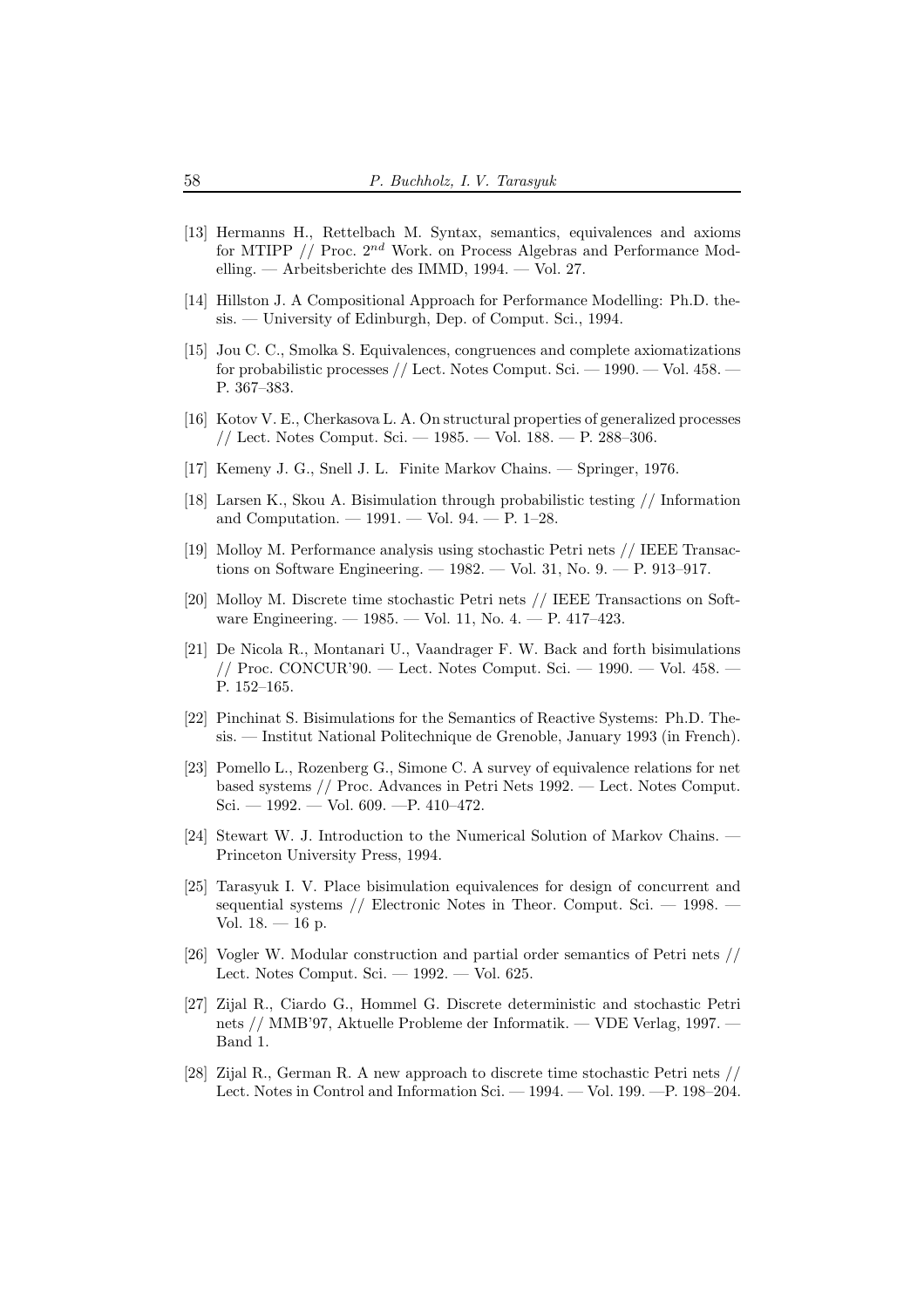- [13] Hermanns H., Rettelbach M. Syntax, semantics, equivalences and axioms for MTIPP  $//$  Proc.  $2^{nd}$  Work. on Process Algebras and Performance Modelling. — Arbeitsberichte des IMMD, 1994. — Vol. 27.
- [14] Hillston J. A Compositional Approach for Performance Modelling: Ph.D. thesis. — University of Edinburgh, Dep. of Comput. Sci., 1994.
- [15] Jou C. C., Smolka S. Equivalences, congruences and complete axiomatizations for probabilistic processes // Lect. Notes Comput. Sci. — 1990. — Vol. 458. — P. 367–383.
- [16] Kotov V. E., Cherkasova L. A. On structural properties of generalized processes // Lect. Notes Comput. Sci. — 1985. — Vol. 188. — P. 288–306.
- [17] Kemeny J. G., Snell J. L. Finite Markov Chains. Springer, 1976.
- [18] Larsen K., Skou A. Bisimulation through probabilistic testing // Information and Computation. — 1991. — Vol. 94. — P. 1–28.
- [19] Molloy M. Performance analysis using stochastic Petri nets // IEEE Transactions on Software Engineering. — 1982. — Vol. 31, No. 9. — P. 913–917.
- [20] Molloy M. Discrete time stochastic Petri nets // IEEE Transactions on Software Engineering. — 1985. — Vol. 11, No. 4. — P. 417–423.
- [21] De Nicola R., Montanari U., Vaandrager F. W. Back and forth bisimulations // Proc. CONCUR'90. — Lect. Notes Comput. Sci. — 1990. — Vol. 458. — P. 152–165.
- [22] Pinchinat S. Bisimulations for the Semantics of Reactive Systems: Ph.D. Thesis. — Institut National Politechnique de Grenoble, January 1993 (in French).
- [23] Pomello L., Rozenberg G., Simone C. A survey of equivalence relations for net based systems // Proc. Advances in Petri Nets 1992. — Lect. Notes Comput. Sci. — 1992. — Vol. 609. —P. 410–472.
- [24] Stewart W. J. Introduction to the Numerical Solution of Markov Chains. Princeton University Press, 1994.
- [25] Tarasyuk I. V. Place bisimulation equivalences for design of concurrent and sequential systems  $//$  Electronic Notes in Theor. Comput. Sci.  $-$  1998.  $-$ Vol.  $18. - 16$  p.
- [26] Vogler W. Modular construction and partial order semantics of Petri nets // Lect. Notes Comput. Sci. — 1992. — Vol. 625.
- [27] Zijal R., Ciardo G., Hommel G. Discrete deterministic and stochastic Petri nets // MMB'97, Aktuelle Probleme der Informatik. — VDE Verlag, 1997. — Band 1.
- [28] Zijal R., German R. A new approach to discrete time stochastic Petri nets // Lect. Notes in Control and Information Sci. — 1994. — Vol. 199. —P. 198–204.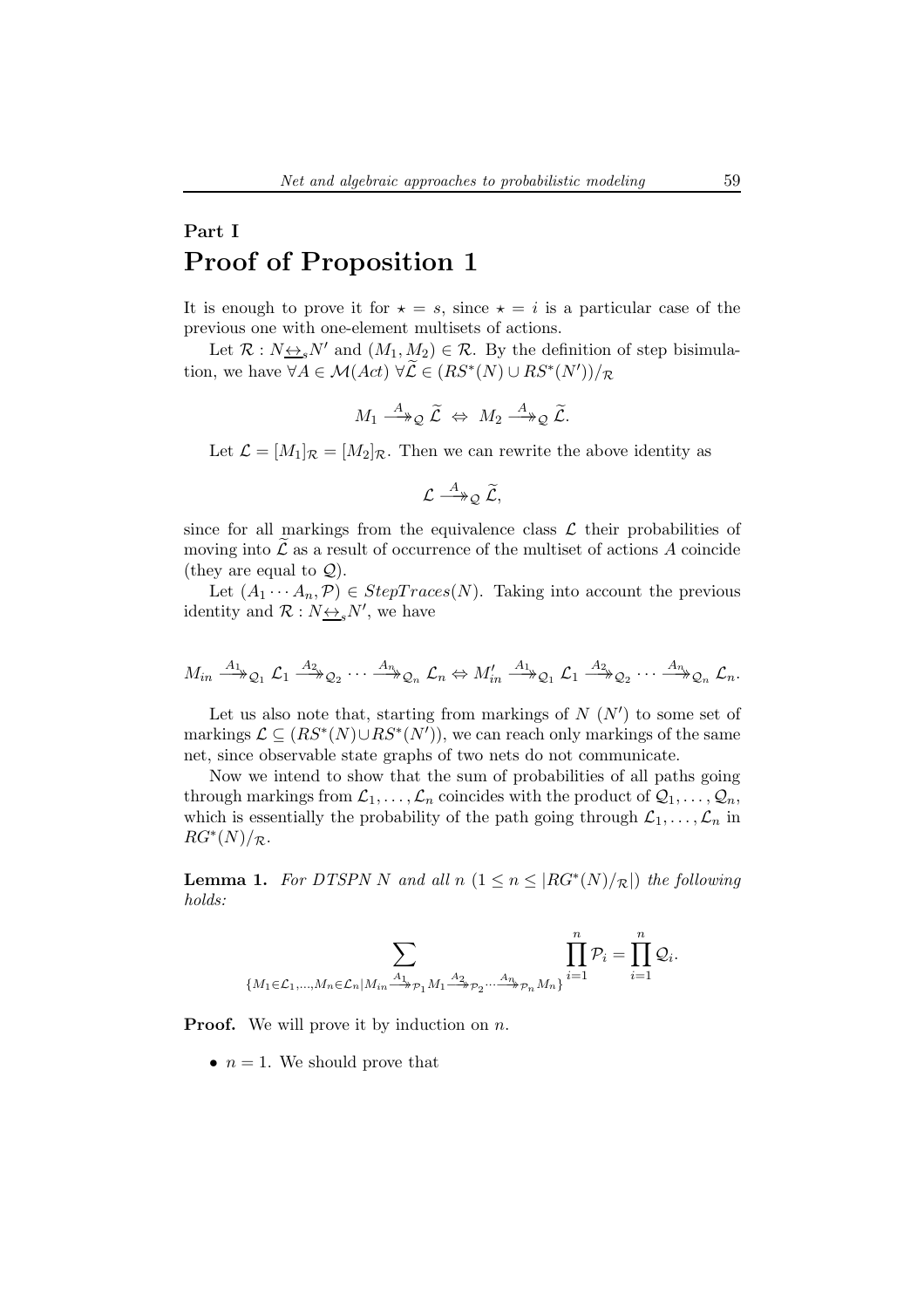# Part I Proof of Proposition 1

It is enough to prove it for  $\star = s$ , since  $\star = i$  is a particular case of the previous one with one-element multisets of actions.

Let  $\mathcal{R}: N \leftrightarrow_{\epsilon} N'$  and  $(M_1, M_2) \in \mathcal{R}$ . By the definition of step bisimulation, we have  $\forall A \in \mathcal{M}(Act) \ \forall \mathcal{L} \in (RS^*(N) \cup RS^*(N'))/\mathcal{R}$ 

$$
M_1 \stackrel{A}{\longrightarrow}_\mathcal{Q} \widetilde{\mathcal{L}} \Leftrightarrow M_2 \stackrel{A}{\longrightarrow}_\mathcal{Q} \widetilde{\mathcal{L}}.
$$

Let  $\mathcal{L} = [M_1]_{\mathcal{R}} = [M_2]_{\mathcal{R}}$ . Then we can rewrite the above identity as

$$
\mathcal{L} \stackrel{A}{\longrightarrow}_{\mathcal{Q}} \widetilde{\mathcal{L}},
$$

since for all markings from the equivalence class  $\mathcal L$  their probabilities of moving into  $\mathcal L$  as a result of occurrence of the multiset of actions A coincide (they are equal to  $\mathcal{Q}$ ).

Let  $(A_1 \cdots A_n, \mathcal{P}) \in StepTrace(N)$ . Taking into account the previous identity and  $\mathcal{R}: N \rightarrow S N'$ , we have

$$
M_{in} \xrightarrow{A_1} \mathcal{Q}_1 \mathcal{L}_1 \xrightarrow{A_2} \mathcal{Q}_2 \cdots \xrightarrow{A_n} \mathcal{Q}_n \mathcal{L}_n \Leftrightarrow M'_{in} \xrightarrow{A_1} \mathcal{Q}_1 \mathcal{L}_1 \xrightarrow{A_2} \mathcal{Q}_2 \cdots \xrightarrow{A_n} \mathcal{Q}_n \mathcal{L}_n.
$$

Let us also note that, starting from markings of  $N(N')$  to some set of markings  $\mathcal{L} \subseteq (RS^*(N) \cup RS^*(N'))$ , we can reach only markings of the same net, since observable state graphs of two nets do not communicate.

Now we intend to show that the sum of probabilities of all paths going through markings from  $\mathcal{L}_1, \ldots, \mathcal{L}_n$  coincides with the product of  $\mathcal{Q}_1, \ldots, \mathcal{Q}_n$ , which is essentially the probability of the path going through  $\mathcal{L}_1, \ldots, \mathcal{L}_n$  in  $RG^*(N)/_{\mathcal{R}}$ .

**Lemma 1.** For DTSPN N and all  $n$   $(1 \le n \le |RG^*(N)/_{\mathcal{R}}|)$  the following holds:

$$
\sum_{\{M_1 \in \mathcal{L}_1, \dots, M_n \in \mathcal{L}_n | M_{in} \stackrel{A_1}{\longrightarrow} p_1 M_1 \stackrel{A_2}{\longrightarrow} p_2 \dots \stackrel{A_n}{\longrightarrow} p_n M_n\}} \prod_{i=1}^n \mathcal{P}_i = \prod_{i=1}^n \mathcal{Q}_i.
$$

**Proof.** We will prove it by induction on  $n$ .

•  $n = 1$ . We should prove that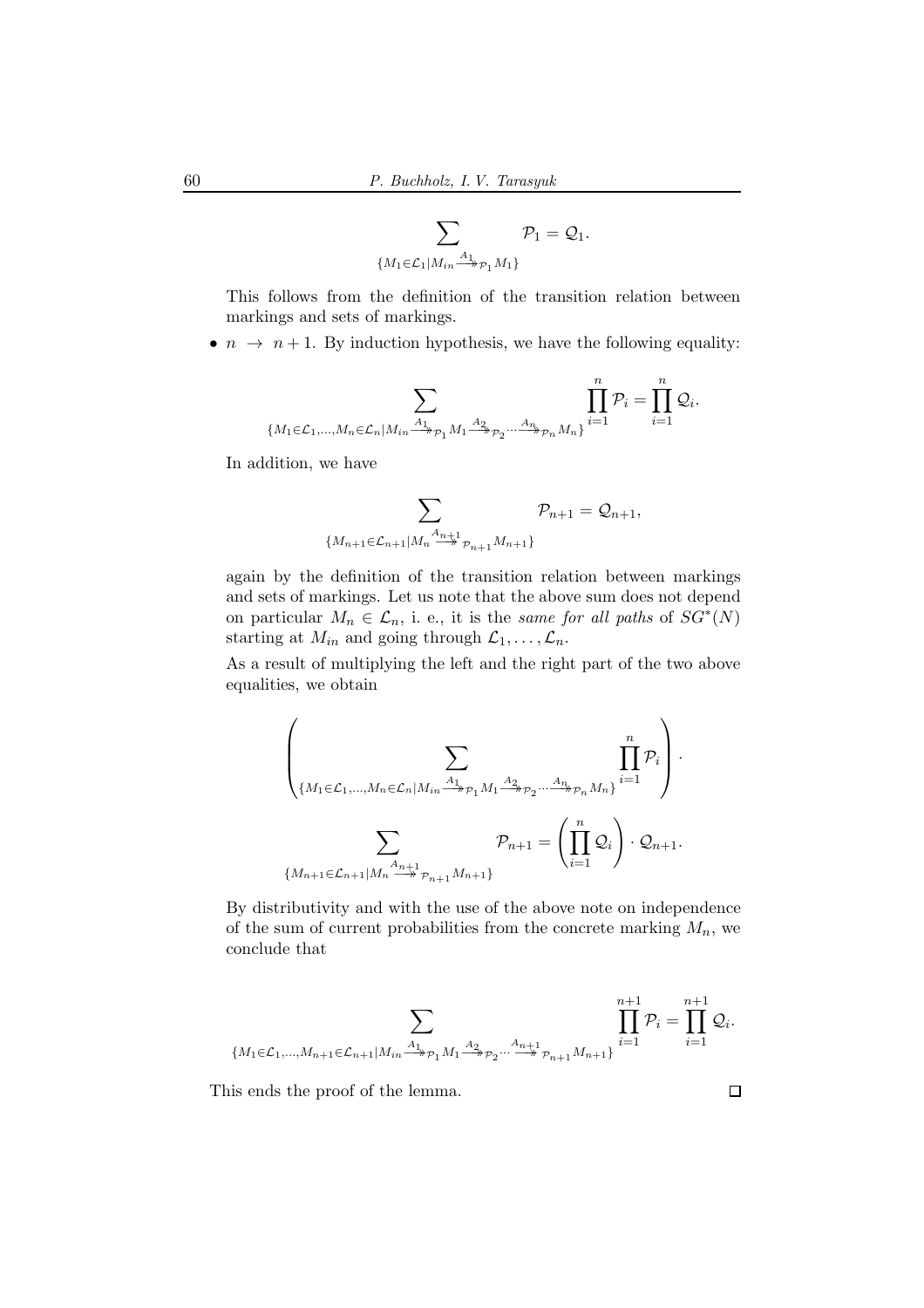$$
\sum_{\{M_1 \in \mathcal{L}_1 | M_{in} \stackrel{A_1}{\longrightarrow} \mathcal{P}_1 M_1\}} \mathcal{P}_1 = \mathcal{Q}_1.
$$

This follows from the definition of the transition relation between markings and sets of markings.

•  $n \to n+1$ . By induction hypothesis, we have the following equality:

$$
\sum_{\{M_1\in \mathcal{L}_1,\ldots,M_n\in \mathcal{L}_n | M_{in}\xrightarrow{A_1}_{\mathcal{P}_1} M_1\xrightarrow{A_2}_{\mathcal{P}_2} \cdots \xrightarrow{A_n}_{\mathcal{P}_n} M_n\}} \prod_{i=1}^n \mathcal{P}_i = \prod_{i=1}^n \mathcal{Q}_i.
$$

In addition, we have

$$
\sum_{\{M_{n+1}\in \mathcal{L}_{n+1}|M_n\stackrel{A_{n+1}}{\to} p_{n+1}M_{n+1}\}}\mathcal{P}_{n+1}=\mathcal{Q}_{n+1},
$$

again by the definition of the transition relation between markings and sets of markings. Let us note that the above sum does not depend on particular  $M_n \in \mathcal{L}_n$ , i. e., it is the same for all paths of  $SG^*(N)$ starting at  $M_{in}$  and going through  $\mathcal{L}_1, \ldots, \mathcal{L}_n$ .

As a result of multiplying the left and the right part of the two above equalities, we obtain

$$
\left(\sum_{\{M_1 \in \mathcal{L}_1, \dots, M_n \in \mathcal{L}_n | M_{in} \xrightarrow{A_1} p_1 M_1 \xrightarrow{A_2} p_2 \dots \xrightarrow{A_n} p_n M_n\}} \prod_{i=1}^n \mathcal{P}_i\right) \cdot \left(\sum_{M_{n+1} \in \mathcal{L}_{n+1} | M_n \xrightarrow{A_{n+1}} p_{n+1} M_{n+1}} \mathcal{P}_{n+1} = \left(\prod_{i=1}^n \mathcal{Q}_i\right) \cdot \mathcal{Q}_{n+1}.
$$

By distributivity and with the use of the above note on independence of the sum of current probabilities from the concrete marking  $M_n$ , we conclude that

$$
\sum_{\{M_1\in \mathcal{L}_1,\ldots,M_{n+1}\in \mathcal{L}_{n+1}|M_{in}\xrightarrow{A_1} p_1 M_1\xrightarrow{A_2} p_2\cdots \xrightarrow{A_{n+1}} p_{n+1}M_{n+1}\}}\prod_{i=1}^{n+1}\mathcal{P}_i=\prod_{i=1}^{n+1}\mathcal{Q}_i.
$$

This ends the proof of the lemma.

 $\Box$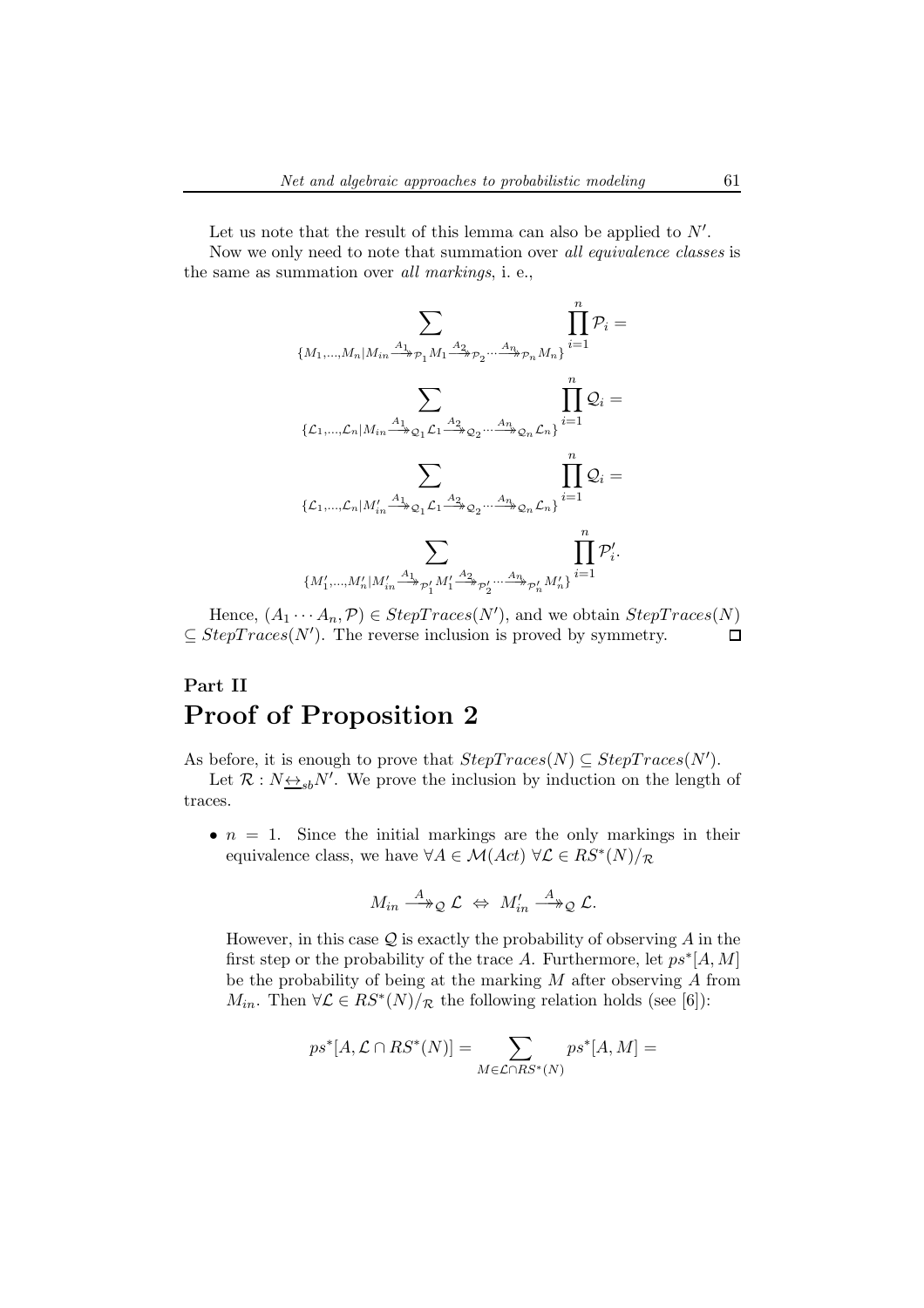Let us note that the result of this lemma can also be applied to  $N'$ . Now we only need to note that summation over all equivalence classes is the same as summation over all markings, i. e.,

$$
\sum_{\{M_1,\ldots,M_n|M_{in}\xrightarrow{A_1}\rho_1M_1\xrightarrow{A_2}\rho_2\ldots\xrightarrow{A_n}\rho_nM_n\}}\prod_{i=1}^n\mathcal{P}_i=\\ \sum_{\{\mathcal{L}_1,\ldots,\mathcal{L}_n|M_{in}\xrightarrow{A_1}\rho_2,\mathcal{L}_1\xrightarrow{A_2}\rho_2\ldots\xrightarrow{A_n}\rho_n\mathcal{L}_n\}}\prod_{i=1}^n\mathcal{Q}_i=\\ \sum_{\{\mathcal{L}_1,\ldots,\mathcal{L}_n|M'_{in}\xrightarrow{A_1}\rho_1\mathcal{L}_1\xrightarrow{A_2}\rho_2\ldots\xrightarrow{A_n}\rho_n\mathcal{L}_n\}}\prod_{i=1}^n\mathcal{Q}_i=\\ \sum_{\{M'_1,\ldots,M'_n|M'_{in}\xrightarrow{A_1}\rho'_1M'_1\xrightarrow{A_2}\rho'_2\ldots\xrightarrow{A_n}\rho'_nM'_n\}}\prod_{i=1}^n\mathcal{P}'_i.
$$

Hence,  $(A_1 \cdots A_n, \mathcal{P}) \in StepTrace(N')$ , and we obtain  $StepTrace(N)$  $\subseteq StepTrace(N')$ . The reverse inclusion is proved by symmetry.  $\Box$ 

## Part II Proof of Proposition 2

As before, it is enough to prove that  $StepTrace(N) \subseteq StepTrace(N')$ .

Let  $\mathcal{R}: N_{\frac{\leftrightarrow}{\leq}b}N'$ . We prove the inclusion by induction on the length of traces.

•  $n = 1$ . Since the initial markings are the only markings in their equivalence class, we have  $\forall A \in \mathcal{M}(Act) \ \forall \mathcal{L} \in RS^*(N)/\mathcal{R}$ 

$$
M_{in} \stackrel{A}{\longrightarrow}_{\mathcal{Q}} \mathcal{L} \Leftrightarrow M'_{in} \stackrel{A}{\longrightarrow}_{\mathcal{Q}} \mathcal{L}.
$$

However, in this case  $Q$  is exactly the probability of observing  $A$  in the first step or the probability of the trace A. Furthermore, let  $ps^*[A, M]$ be the probability of being at the marking M after observing A from  $M_{in}$ . Then  $\forall \mathcal{L} \in RS^*(N)/_{\mathcal{R}}$  the following relation holds (see [6]):

$$
ps^*[A, \mathcal{L} \cap RS^*(N)] = \sum_{M \in \mathcal{L} \cap RS^*(N)} ps^*[A, M] =
$$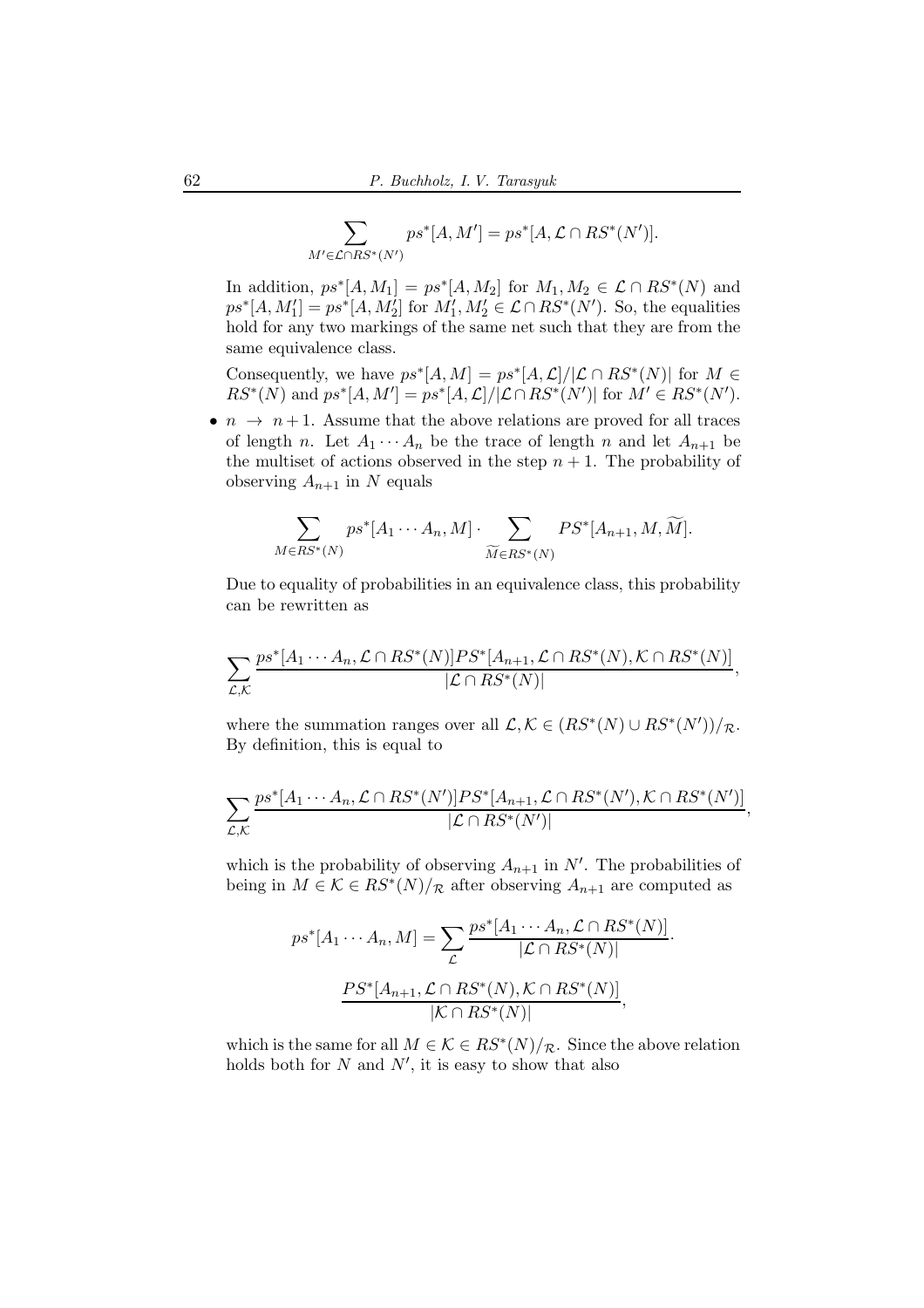$$
\sum_{M' \in \mathcal{L} \cap RS^*(N')} ps^*[A, M'] = ps^*[A, \mathcal{L} \cap RS^*(N')].
$$

In addition,  $ps^*[A, M_1] = ps^*[A, M_2]$  for  $M_1, M_2 \in \mathcal{L} \cap RS^*(N)$  and  $ps^*[A, M_1'] = ps^*[A, M_2']$  for  $M_1', M_2' \in \mathcal{L} \cap RS^*(N')$ . So, the equalities hold for any two markings of the same net such that they are from the same equivalence class.

Consequently, we have  $ps^*[A, M] = ps^*[A, \mathcal{L}]/[\mathcal{L} \cap RS^*(N)]$  for  $M \in$  $RS^*(N)$  and  $ps^*[A, M'] = ps^*[A, \mathcal{L}] / |\mathcal{L} \cap RS^*(N')|$  for  $M' \in RS^*(N')$ .

•  $n \to n+1$ . Assume that the above relations are proved for all traces of length n. Let  $A_1 \cdots A_n$  be the trace of length n and let  $A_{n+1}$  be the multiset of actions observed in the step  $n + 1$ . The probability of observing  $A_{n+1}$  in N equals

$$
\sum_{M \in RS^*(N)} ps^*[A_1 \cdots A_n, M] \cdot \sum_{\widetilde{M} \in RS^*(N)} PS^*[A_{n+1}, M, \widetilde{M}].
$$

Due to equality of probabilities in an equivalence class, this probability can be rewritten as

$$
\sum_{\mathcal{L},\mathcal{K}} \frac{ps^*[A_1\cdots A_n,\mathcal{L}\cap RS^*(N)]PS^*[A_{n+1},\mathcal{L}\cap RS^*(N),\mathcal{K}\cap RS^*(N)]}{|\mathcal{L}\cap RS^*(N)|},
$$

where the summation ranges over all  $\mathcal{L}, \mathcal{K} \in (RS^*(N) \cup RS^*(N'))/R$ . By definition, this is equal to

$$
\sum_{\mathcal{L},\mathcal{K}} \frac{ps^*[A_1 \cdots A_n, \mathcal{L} \cap RS^*(N')]PS^*[A_{n+1}, \mathcal{L} \cap RS^*(N'), \mathcal{K} \cap RS^*(N')]}{|\mathcal{L} \cap RS^*(N')|}
$$

,

·

which is the probability of observing  $A_{n+1}$  in N'. The probabilities of being in  $M \in \mathcal{K} \in RS^*(N)/_{\mathcal{R}}$  after observing  $A_{n+1}$  are computed as

$$
ps^*[A_1 \cdots A_n, M] = \sum_{\mathcal{L}} \frac{ps^*[A_1 \cdots A_n, \mathcal{L} \cap RS^*(N)]}{|\mathcal{L} \cap RS^*(N)|}
$$

$$
\frac{PS^*[A_{n+1}, \mathcal{L} \cap RS^*(N), \mathcal{K} \cap RS^*(N)]}{|\mathcal{K} \cap RS^*(N)|},
$$

which is the same for all  $M \in \mathcal{K} \in RS^*(N)/_{\mathcal{R}}$ . Since the above relation holds both for  $N$  and  $N'$ , it is easy to show that also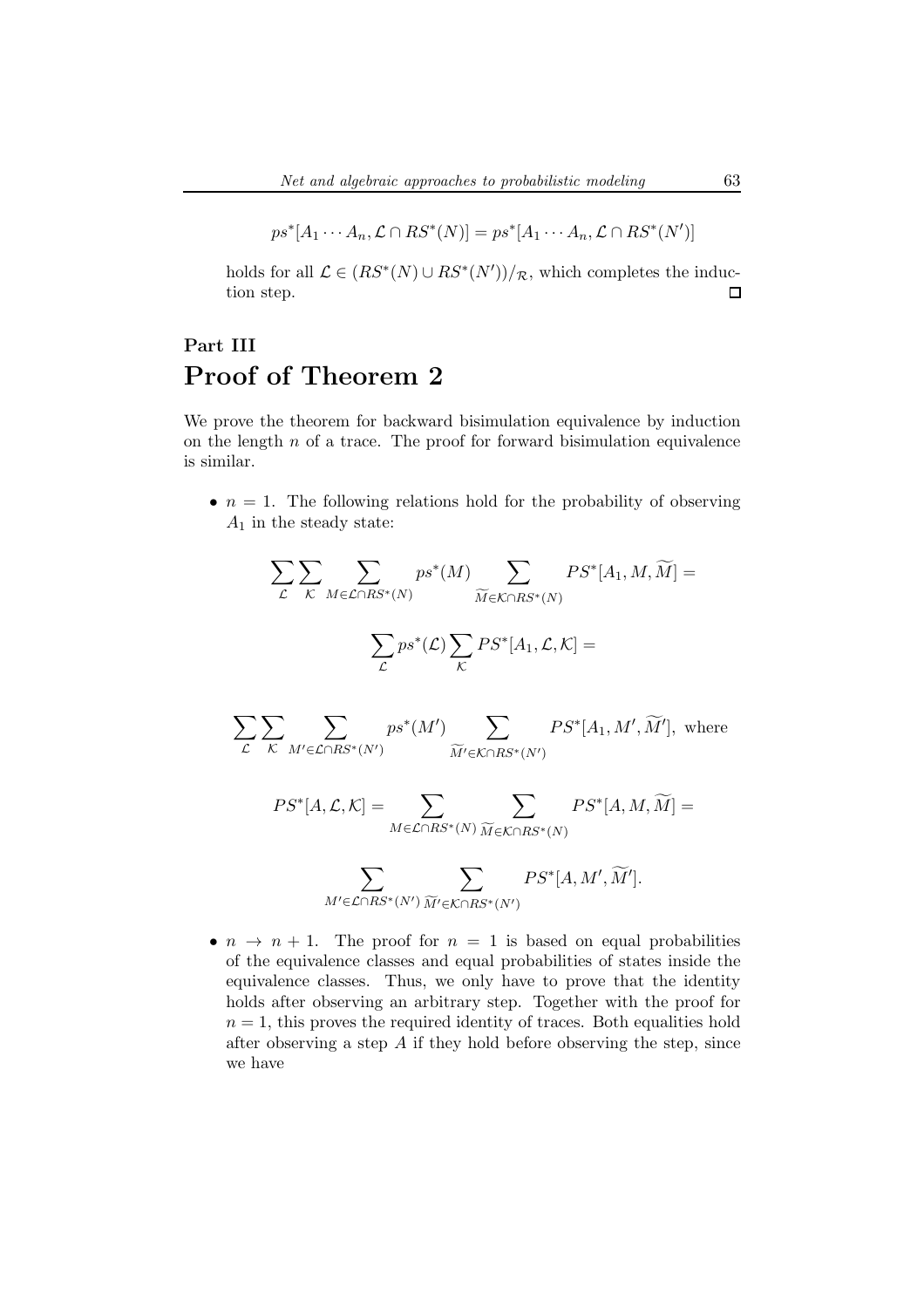$$
ps^*[A_1 \cdots A_n, \mathcal{L} \cap RS^*(N)] = ps^*[A_1 \cdots A_n, \mathcal{L} \cap RS^*(N')]
$$

holds for all  $\mathcal{L} \in (RS^*(N) \cup RS^*(N'))/\mathcal{R}$ , which completes the induction step.  $\Box$ 

# Part III Proof of Theorem 2

We prove the theorem for backward bisimulation equivalence by induction on the length  $n$  of a trace. The proof for forward bisimulation equivalence is similar.

•  $n = 1$ . The following relations hold for the probability of observing  $A_1$  in the steady state:

$$
\sum_{\mathcal{L}} \sum_{\mathcal{K}} \sum_{M \in \mathcal{L} \cap RS^*(N)} ps^*(M) \sum_{\widetilde{M} \in \mathcal{K} \cap RS^*(N)} PS^*[A_1, M, \widetilde{M}] =
$$
  

$$
\sum_{\mathcal{L}} ps^*(\mathcal{L}) \sum_{\mathcal{K}} PS^*[A_1, \mathcal{L}, \mathcal{K}] =
$$

$$
\sum_{\mathcal{L}} \sum_{\mathcal{K}} \sum_{M' \in \mathcal{L} \cap RS^*(N')} ps^*(M') \sum_{\widetilde{M}' \in \mathcal{K} \cap RS^*(N')} PS^*[A_1, M', \widetilde{M}'], \text{ where }
$$

$$
PS^*[A, \mathcal{L}, \mathcal{K}] = \sum_{M \in \mathcal{L} \cap RS^*(N)} \sum_{\widetilde{M} \in \mathcal{K} \cap RS^*(N)} PS^*[A, M, \widetilde{M}] =
$$

$$
\sum_{M'\in\mathcal{L}\cap RS^*(N')}\sum_{\widetilde{M}'\in\mathcal{K}\cap RS^*(N')}PS^*[A,M',\widetilde{M}'].
$$

•  $n \to n + 1$ . The proof for  $n = 1$  is based on equal probabilities of the equivalence classes and equal probabilities of states inside the equivalence classes. Thus, we only have to prove that the identity holds after observing an arbitrary step. Together with the proof for  $n = 1$ , this proves the required identity of traces. Both equalities hold after observing a step  $A$  if they hold before observing the step, since we have